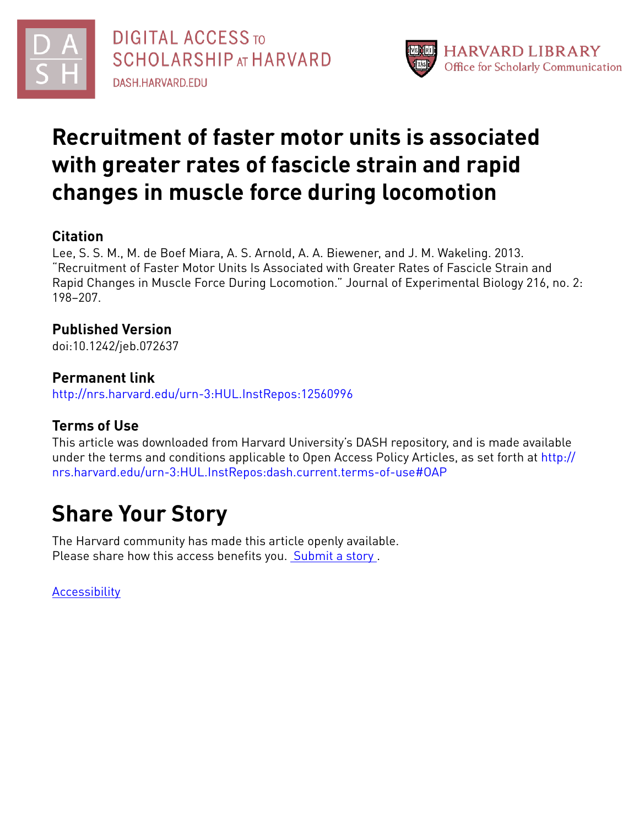



# **Recruitment of faster motor units is associated with greater rates of fascicle strain and rapid changes in muscle force during locomotion**

## **Citation**

Lee, S. S. M., M. de Boef Miara, A. S. Arnold, A. A. Biewener, and J. M. Wakeling. 2013. "Recruitment of Faster Motor Units Is Associated with Greater Rates of Fascicle Strain and Rapid Changes in Muscle Force During Locomotion." Journal of Experimental Biology 216, no. 2: 198–207.

# **Published Version**

doi:10.1242/jeb.072637

## **Permanent link**

<http://nrs.harvard.edu/urn-3:HUL.InstRepos:12560996>

# **Terms of Use**

This article was downloaded from Harvard University's DASH repository, and is made available under the terms and conditions applicable to Open Access Policy Articles, as set forth at [http://](http://nrs.harvard.edu/urn-3:HUL.InstRepos:dash.current.terms-of-use#OAP) [nrs.harvard.edu/urn-3:HUL.InstRepos:dash.current.terms-of-use#OAP](http://nrs.harvard.edu/urn-3:HUL.InstRepos:dash.current.terms-of-use#OAP)

# **Share Your Story**

The Harvard community has made this article openly available. Please share how this access benefits you. [Submit](http://osc.hul.harvard.edu/dash/open-access-feedback?handle=&title=Recruitment%20of%20faster%20motor%20units%20is%20associated%20with%20greater%20rates%20of%20fascicle%20strain%20and%20rapid%20changes%20in%20muscle%20force%20during%20locomotion&community=1/1&collection=1/2&owningCollection1/2&harvardAuthors=ca9d483e94f94918f8af06bb4fa9864b&departmentOrganismic%20and%20Evolutionary%20Biology) a story.

[Accessibility](https://dash.harvard.edu/pages/accessibility)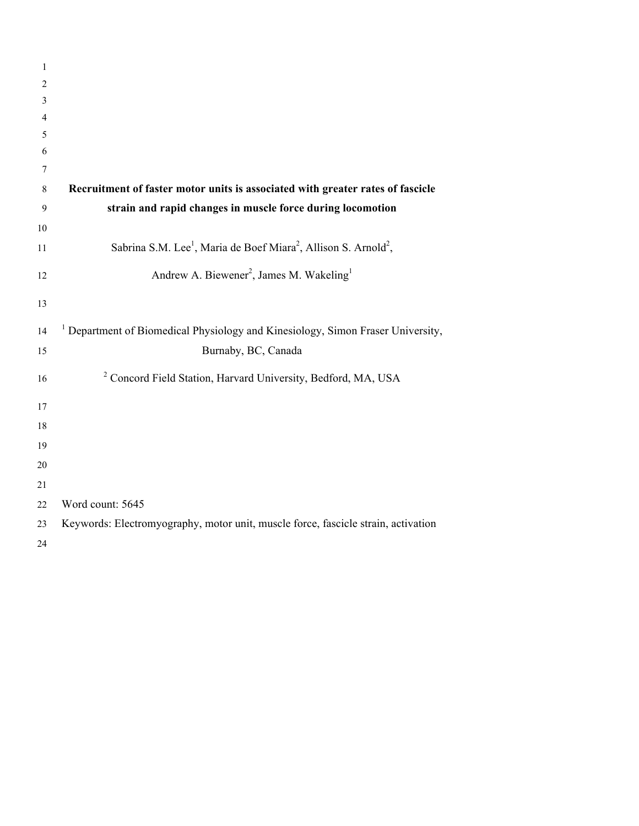| $\mathbf{1}$ |                                                                                                     |
|--------------|-----------------------------------------------------------------------------------------------------|
| 2            |                                                                                                     |
| 3            |                                                                                                     |
| 4            |                                                                                                     |
| 5            |                                                                                                     |
| 6            |                                                                                                     |
| 7            |                                                                                                     |
| 8            | Recruitment of faster motor units is associated with greater rates of fascicle                      |
| 9            | strain and rapid changes in muscle force during locomotion                                          |
| 10           |                                                                                                     |
| 11           | Sabrina S.M. Lee <sup>1</sup> , Maria de Boef Miara <sup>2</sup> , Allison S. Arnold <sup>2</sup> , |
| 12           | Andrew A. Biewener <sup>2</sup> , James M. Wakeling <sup>1</sup>                                    |
| 13           |                                                                                                     |
| 14           | <sup>1</sup> Department of Biomedical Physiology and Kinesiology, Simon Fraser University,          |
| 15           | Burnaby, BC, Canada                                                                                 |
| 16           | <sup>2</sup> Concord Field Station, Harvard University, Bedford, MA, USA                            |
| 17           |                                                                                                     |
| 18           |                                                                                                     |
| 19           |                                                                                                     |
| 20           |                                                                                                     |
| 21           |                                                                                                     |
| 22           | Word count: 5645                                                                                    |
| 23           | Keywords: Electromyography, motor unit, muscle force, fascicle strain, activation                   |
| 24           |                                                                                                     |
|              |                                                                                                     |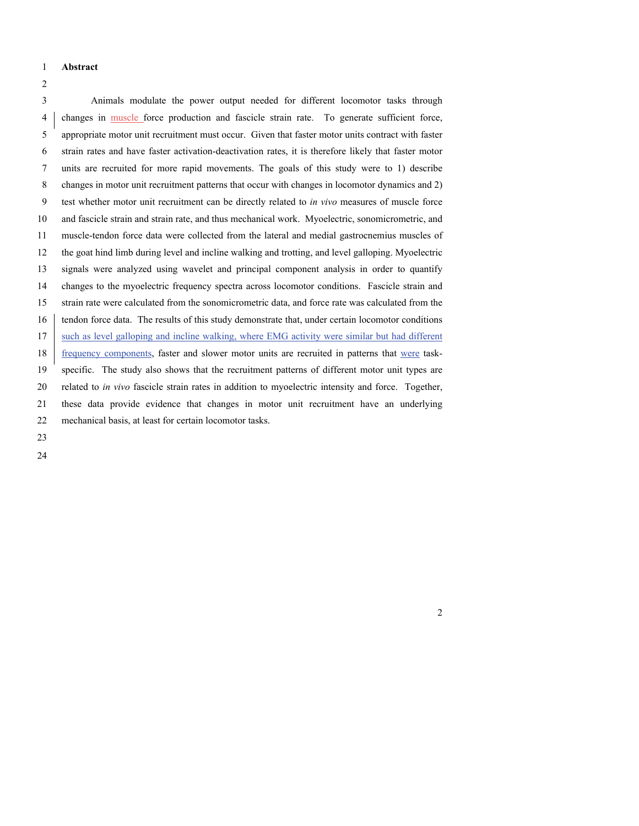#### **Abstract**

 Animals modulate the power output needed for different locomotor tasks through changes in muscle force production and fascicle strain rate. To generate sufficient force, appropriate motor unit recruitment must occur. Given that faster motor units contract with faster strain rates and have faster activation-deactivation rates, it is therefore likely that faster motor units are recruited for more rapid movements. The goals of this study were to 1) describe changes in motor unit recruitment patterns that occur with changes in locomotor dynamics and 2) test whether motor unit recruitment can be directly related to *in vivo* measures of muscle force and fascicle strain and strain rate, and thus mechanical work. Myoelectric, sonomicrometric, and muscle-tendon force data were collected from the lateral and medial gastrocnemius muscles of the goat hind limb during level and incline walking and trotting, and level galloping. Myoelectric signals were analyzed using wavelet and principal component analysis in order to quantify changes to the myoelectric frequency spectra across locomotor conditions. Fascicle strain and strain rate were calculated from the sonomicrometric data, and force rate was calculated from the 16 tendon force data. The results of this study demonstrate that, under certain locomotor conditions such as level galloping and incline walking, where EMG activity were similar but had different 18 frequency components, faster and slower motor units are recruited in patterns that were task- specific. The study also shows that the recruitment patterns of different motor unit types are related to *in vivo* fascicle strain rates in addition to myoelectric intensity and force. Together, these data provide evidence that changes in motor unit recruitment have an underlying mechanical basis, at least for certain locomotor tasks.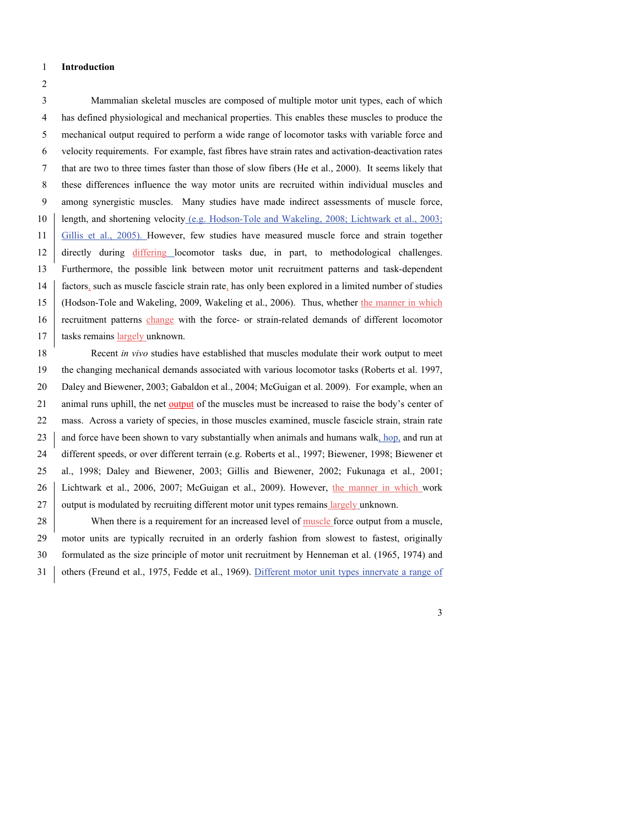**Introduction**

 Mammalian skeletal muscles are composed of multiple motor unit types, each of which has defined physiological and mechanical properties. This enables these muscles to produce the mechanical output required to perform a wide range of locomotor tasks with variable force and velocity requirements. For example, fast fibres have strain rates and activation-deactivation rates that are two to three times faster than those of slow fibers (He et al., 2000). It seems likely that these differences influence the way motor units are recruited within individual muscles and among synergistic muscles. Many studies have made indirect assessments of muscle force, length, and shortening velocity (e.g. Hodson-Tole and Wakeling, 2008; Lichtwark et al., 2003; Gillis et al., 2005). However, few studies have measured muscle force and strain together directly during differing locomotor tasks due, in part, to methodological challenges. Furthermore, the possible link between motor unit recruitment patterns and task-dependent factors, such as muscle fascicle strain rate, has only been explored in a limited number of studies 15 (Hodson-Tole and Wakeling, 2009, Wakeling et al., 2006). Thus, whether the manner in which 16 recruitment patterns change with the force- or strain-related demands of different locomotor 17 tasks remains largely unknown.

 Recent *in vivo* studies have established that muscles modulate their work output to meet the changing mechanical demands associated with various locomotor tasks (Roberts et al. 1997, Daley and Biewener, 2003; Gabaldon et al., 2004; McGuigan et al. 2009). For example, when an animal runs uphill, the net output of the muscles must be increased to raise the body's center of mass. Across a variety of species, in those muscles examined, muscle fascicle strain, strain rate 23 and force have been shown to vary substantially when animals and humans walk, hop, and run at different speeds, or over different terrain (e.g. Roberts et al., 1997; Biewener, 1998; Biewener et al., 1998; Daley and Biewener, 2003; Gillis and Biewener, 2002; Fukunaga et al., 2001; Lichtwark et al., 2006, 2007; McGuigan et al., 2009). However, the manner in which work 27 output is modulated by recruiting different motor unit types remains largely unknown.

28 When there is a requirement for an increased level of <u>muscle</u> force output from a muscle, motor units are typically recruited in an orderly fashion from slowest to fastest, originally formulated as the size principle of motor unit recruitment by Henneman et al. (1965, 1974) and 31 others (Freund et al., 1975, Fedde et al., 1969). Different motor unit types innervate a range of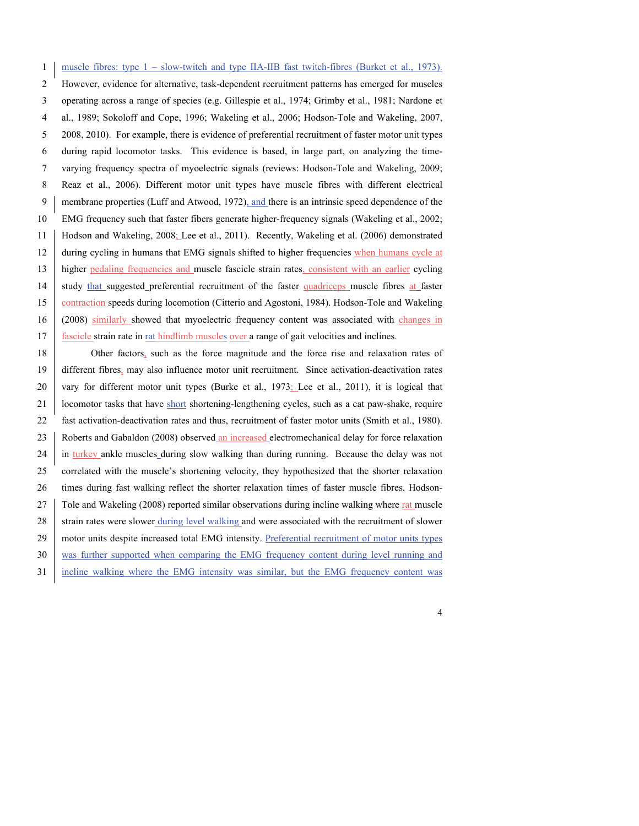muscle fibres: type 1 – slow-twitch and type IIA-IIB fast twitch-fibres (Burket et al., 1973). However, evidence for alternative, task-dependent recruitment patterns has emerged for muscles operating across a range of species (e.g. Gillespie et al., 1974; Grimby et al., 1981; Nardone et al., 1989; Sokoloff and Cope, 1996; Wakeling et al., 2006; Hodson-Tole and Wakeling, 2007, 2008, 2010). For example, there is evidence of preferential recruitment of faster motor unit types during rapid locomotor tasks. This evidence is based, in large part, on analyzing the time- varying frequency spectra of myoelectric signals (reviews: Hodson-Tole and Wakeling, 2009; Reaz et al., 2006). Different motor unit types have muscle fibres with different electrical membrane properties (Luff and Atwood, 1972), and there is an intrinsic speed dependence of the EMG frequency such that faster fibers generate higher-frequency signals (Wakeling et al., 2002; Hodson and Wakeling, 2008; Lee et al., 2011). Recently, Wakeling et al. (2006) demonstrated 12 during cycling in humans that EMG signals shifted to higher frequencies when humans cycle at 13 higher pedaling frequencies and muscle fascicle strain rates, consistent with an earlier cycling 14 study that suggested preferential recruitment of the faster quadriceps muscle fibres at faster contraction speeds during locomotion (Citterio and Agostoni, 1984). Hodson-Tole and Wakeling (2008) similarly showed that myoelectric frequency content was associated with changes in 17 fascicle strain rate in <u>rat hindlimb muscles over</u> a range of gait velocities and inclines.

18 Other factors, such as the force magnitude and the force rise and relaxation rates of 19 different fibres, may also influence motor unit recruitment. Since activation-deactivation rates 20 vary for different motor unit types (Burke et al., 1973; Lee et al., 2011), it is logical that 21 locomotor tasks that have short shortening-lengthening cycles, such as a cat paw-shake, require 22 fast activation-deactivation rates and thus, recruitment of faster motor units (Smith et al., 1980). 23 Roberts and Gabaldon (2008) observed an increased electromechanical delay for force relaxation 24 in turkey ankle muscles during slow walking than during running. Because the delay was not 25 correlated with the muscle's shortening velocity, they hypothesized that the shorter relaxation 26 times during fast walking reflect the shorter relaxation times of faster muscle fibres. Hodson-27 Tole and Wakeling (2008) reported similar observations during incline walking where rat muscle 28 strain rates were slower during level walking and were associated with the recruitment of slower 29 motor units despite increased total EMG intensity. Preferential recruitment of motor units types 30 was further supported when comparing the EMG frequency content during level running and 31 incline walking where the EMG intensity was similar, but the EMG frequency content was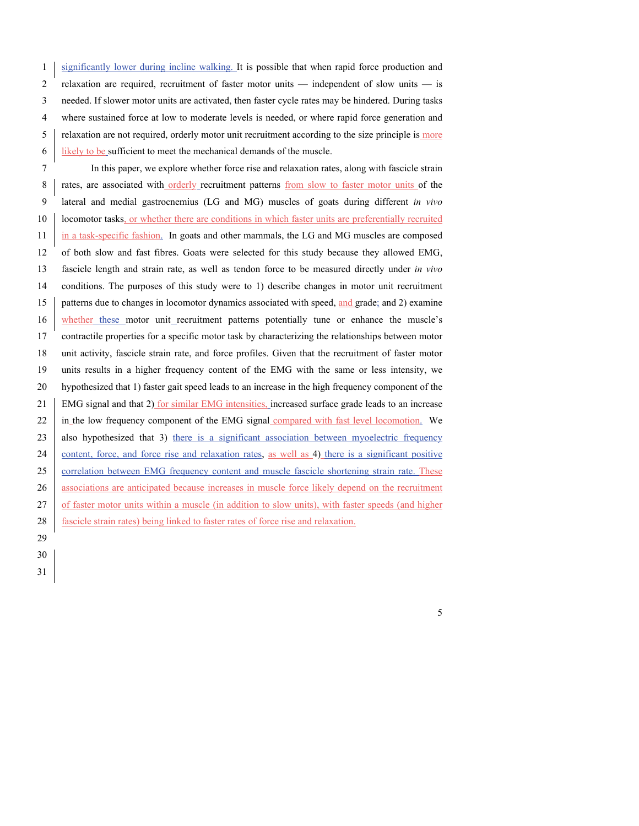1 significantly lower during incline walking. It is possible that when rapid force production and relaxation are required, recruitment of faster motor units — independent of slow units — is needed. If slower motor units are activated, then faster cycle rates may be hindered. During tasks where sustained force at low to moderate levels is needed, or where rapid force generation and relaxation are not required, orderly motor unit recruitment according to the size principle is more likely to be sufficient to meet the mechanical demands of the muscle.

 In this paper, we explore whether force rise and relaxation rates, along with fascicle strain 8 rates, are associated with orderly recruitment patterns from slow to faster motor units of the lateral and medial gastrocnemius (LG and MG) muscles of goats during different *in vivo*  **locomotor tasks**, or whether there are conditions in which faster units are preferentially recruited 11 in a task-specific fashion. In goats and other mammals, the LG and MG muscles are composed of both slow and fast fibres. Goats were selected for this study because they allowed EMG, fascicle length and strain rate, as well as tendon force to be measured directly under *in vivo*  conditions. The purposes of this study were to 1) describe changes in motor unit recruitment patterns due to changes in locomotor dynamics associated with speed, and grade; and 2) examine whether these motor unit recruitment patterns potentially tune or enhance the muscle's contractile properties for a specific motor task by characterizing the relationships between motor unit activity, fascicle strain rate, and force profiles. Given that the recruitment of faster motor units results in a higher frequency content of the EMG with the same or less intensity, we hypothesized that 1) faster gait speed leads to an increase in the high frequency component of the EMG signal and that 2) for similar EMG intensities, increased surface grade leads to an increase 22 in the low frequency component of the EMG signal compared with fast level locomotion. We 23 also hypothesized that 3) there is a significant association between myoelectric frequency 24 content, force, and force rise and relaxation rates, as well as 4) there is a significant positive 25 correlation between EMG frequency content and muscle fascicle shortening strain rate. These 26 associations are anticipated because increases in muscle force likely depend on the recruitment 27 of faster motor units within a muscle (in addition to slow units), with faster speeds (and higher 28 fascicle strain rates) being linked to faster rates of force rise and relaxation.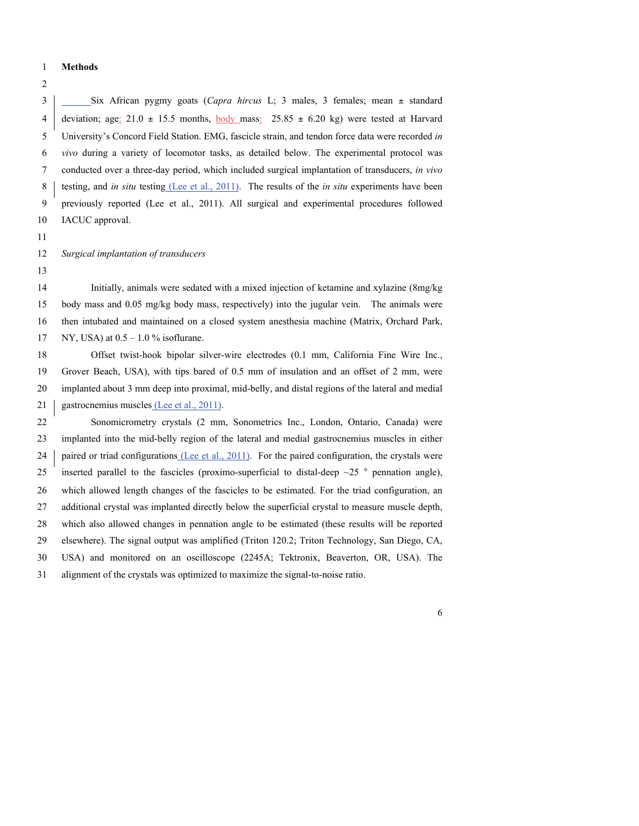#### **Methods**

 Six African pygmy goats (*Capra hircus* L; 3 males, 3 females; mean ± standard 4 deviation; age:  $21.0 \pm 15.5$  months, body mass:  $25.85 \pm 6.20$  kg) were tested at Harvard University's Concord Field Station. EMG, fascicle strain, and tendon force data were recorded *in vivo* during a variety of locomotor tasks, as detailed below. The experimental protocol was conducted over a three-day period, which included surgical implantation of transducers, *in vivo*  testing, and *in situ* testing (Lee et al., 2011). The results of the *in situ* experiments have been previously reported (Lee et al., 2011). All surgical and experimental procedures followed IACUC approval.

*Surgical implantation of transducers*

 Initially, animals were sedated with a mixed injection of ketamine and xylazine (8mg/kg body mass and 0.05 mg/kg body mass, respectively) into the jugular vein. The animals were then intubated and maintained on a closed system anesthesia machine (Matrix, Orchard Park, NY, USA) at 0.5 – 1.0 % isoflurane.

 Offset twist-hook bipolar silver-wire electrodes (0.1 mm, California Fine Wire Inc., Grover Beach, USA), with tips bared of 0.5 mm of insulation and an offset of 2 mm, were implanted about 3 mm deep into proximal, mid-belly, and distal regions of the lateral and medial 21 gastrocnemius muscles (Lee et al., 2011).

 Sonomicrometry crystals (2 mm, Sonometrics Inc., London, Ontario, Canada) were implanted into the mid-belly region of the lateral and medial gastrocnemius muscles in either 24 paired or triad configurations (Lee et al., 2011). For the paired configuration, the crystals were 25 inserted parallel to the fascicles (proximo-superficial to distal-deep  $\sim$  25 ° pennation angle), which allowed length changes of the fascicles to be estimated. For the triad configuration, an additional crystal was implanted directly below the superficial crystal to measure muscle depth, which also allowed changes in pennation angle to be estimated (these results will be reported elsewhere). The signal output was amplified (Triton 120.2; Triton Technology, San Diego, CA, USA) and monitored on an oscilloscope (2245A; Tektronix, Beaverton, OR, USA). The alignment of the crystals was optimized to maximize the signal-to-noise ratio.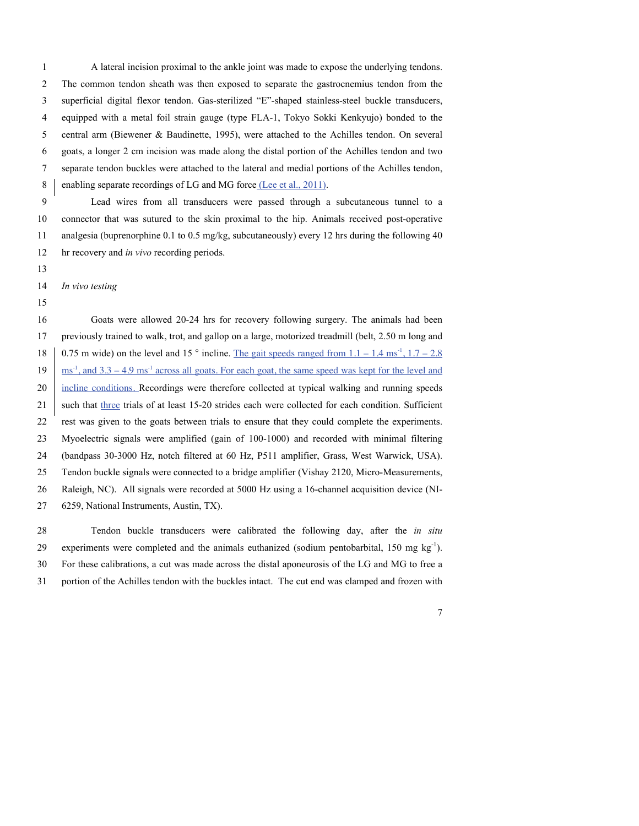A lateral incision proximal to the ankle joint was made to expose the underlying tendons. The common tendon sheath was then exposed to separate the gastrocnemius tendon from the superficial digital flexor tendon. Gas-sterilized "E"-shaped stainless-steel buckle transducers, equipped with a metal foil strain gauge (type FLA-1, Tokyo Sokki Kenkyujo) bonded to the central arm (Biewener & Baudinette, 1995), were attached to the Achilles tendon. On several goats, a longer 2 cm incision was made along the distal portion of the Achilles tendon and two separate tendon buckles were attached to the lateral and medial portions of the Achilles tendon, 8 enabling separate recordings of LG and MG force (Lee et al., 2011).

 Lead wires from all transducers were passed through a subcutaneous tunnel to a connector that was sutured to the skin proximal to the hip. Animals received post-operative analgesia (buprenorphine 0.1 to 0.5 mg/kg, subcutaneously) every 12 hrs during the following 40 hr recovery and *in vivo* recording periods.

*In vivo testing*

 Goats were allowed 20-24 hrs for recovery following surgery. The animals had been previously trained to walk, trot, and gallop on a large, motorized treadmill (belt, 2.50 m long and  $\mid$  0.75 m wide) on the level and 15 ° incline. The gait speeds ranged from 1.1 – 1.4 ms<sup>-1</sup>, 1.7 – 2.8  $19 \frac{\text{ms}^1}{\text{ms}^1}$ , and  $3.3 - 4.9 \text{ms}^1$  across all goats. For each goat, the same speed was kept for the level and incline conditions. Recordings were therefore collected at typical walking and running speeds 21 such that three trials of at least 15-20 strides each were collected for each condition. Sufficient rest was given to the goats between trials to ensure that they could complete the experiments. Myoelectric signals were amplified (gain of 100-1000) and recorded with minimal filtering (bandpass 30-3000 Hz, notch filtered at 60 Hz, P511 amplifier, Grass, West Warwick, USA). Tendon buckle signals were connected to a bridge amplifier (Vishay 2120, Micro-Measurements, Raleigh, NC). All signals were recorded at 5000 Hz using a 16-channel acquisition device (NI-6259, National Instruments, Austin, TX).

 Tendon buckle transducers were calibrated the following day, after the *in situ*  experiments were completed and the animals euthanized (sodium pentobarbital, 150 mg kg<sup>-1</sup>). For these calibrations, a cut was made across the distal aponeurosis of the LG and MG to free a portion of the Achilles tendon with the buckles intact. The cut end was clamped and frozen with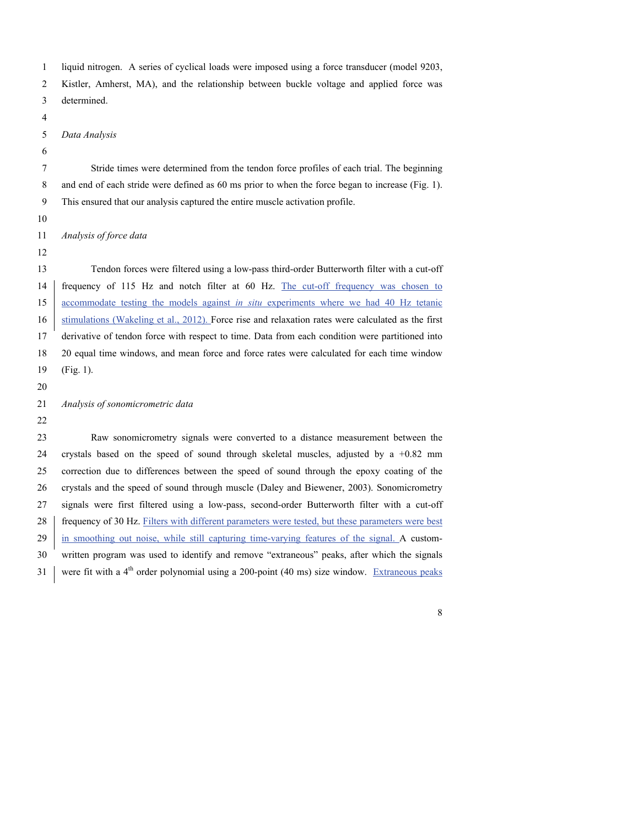|  |  |  |  | liquid nitrogen. A series of cyclical loads were imposed using a force transducer (model 9203, |
|--|--|--|--|------------------------------------------------------------------------------------------------|
|--|--|--|--|------------------------------------------------------------------------------------------------|

Kistler, Amherst, MA), and the relationship between buckle voltage and applied force was

- determined.
- 

### *Data Analysis*

 Stride times were determined from the tendon force profiles of each trial. The beginning and end of each stride were defined as 60 ms prior to when the force began to increase (Fig. 1). This ensured that our analysis captured the entire muscle activation profile.

*Analysis of force data*

 Tendon forces were filtered using a low-pass third-order Butterworth filter with a cut-off frequency of 115 Hz and notch filter at 60 Hz. The cut-off frequency was chosen to accommodate testing the models against *in situ* experiments where we had 40 Hz tetanic 16 stimulations (Wakeling et al., 2012). Force rise and relaxation rates were calculated as the first derivative of tendon force with respect to time. Data from each condition were partitioned into 20 equal time windows, and mean force and force rates were calculated for each time window (Fig. 1).

*Analysis of sonomicrometric data*

 Raw sonomicrometry signals were converted to a distance measurement between the 24 crystals based on the speed of sound through skeletal muscles, adjusted by  $a +0.82$  mm correction due to differences between the speed of sound through the epoxy coating of the crystals and the speed of sound through muscle (Daley and Biewener, 2003). Sonomicrometry signals were first filtered using a low-pass, second-order Butterworth filter with a cut-off 28 frequency of 30 Hz. Filters with different parameters were tested, but these parameters were best 29 in smoothing out noise, while still capturing time-varying features of the signal. A custom- written program was used to identify and remove "extraneous" peaks, after which the signals 31 were fit with a  $4<sup>th</sup>$  order polynomial using a 200-point (40 ms) size window. Extraneous peaks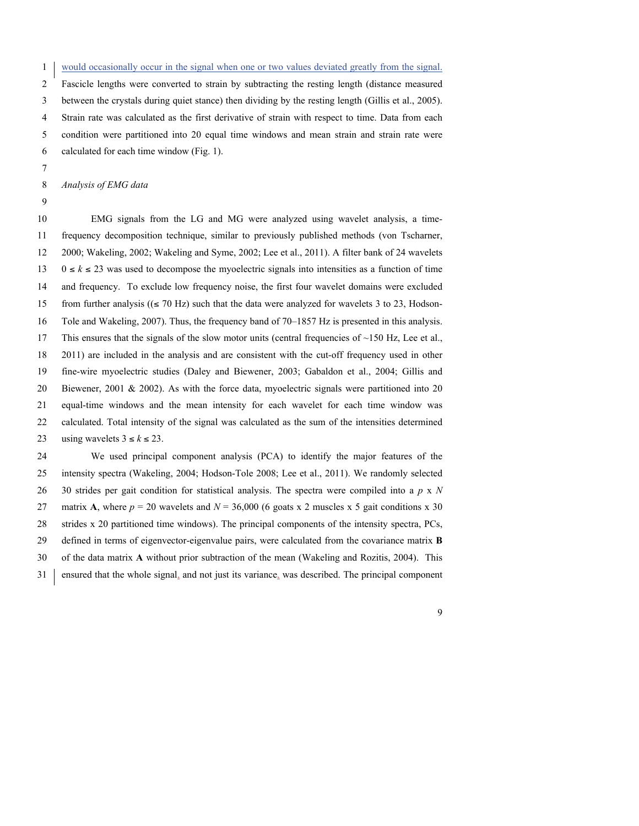would occasionally occur in the signal when one or two values deviated greatly from the signal. Fascicle lengths were converted to strain by subtracting the resting length (distance measured between the crystals during quiet stance) then dividing by the resting length (Gillis et al., 2005). Strain rate was calculated as the first derivative of strain with respect to time. Data from each condition were partitioned into 20 equal time windows and mean strain and strain rate were calculated for each time window (Fig. 1).

*Analysis of EMG data*

 EMG signals from the LG and MG were analyzed using wavelet analysis, a time- frequency decomposition technique, similar to previously published methods (von Tscharner, 2000; Wakeling, 2002; Wakeling and Syme, 2002; Lee et al., 2011). A filter bank of 24 wavelets 0 ≤ *k* ≤ 23 was used to decompose the myoelectric signals into intensities as a function of time and frequency. To exclude low frequency noise, the first four wavelet domains were excluded 15 from further analysis ( $(\leq 70 \text{ Hz})$  such that the data were analyzed for wavelets 3 to 23, Hodson- Tole and Wakeling, 2007). Thus, the frequency band of 70–1857 Hz is presented in this analysis. This ensures that the signals of the slow motor units (central frequencies of ~150 Hz, Lee et al., 2011) are included in the analysis and are consistent with the cut-off frequency used in other fine-wire myoelectric studies (Daley and Biewener, 2003; Gabaldon et al., 2004; Gillis and Biewener, 2001 & 2002). As with the force data, myoelectric signals were partitioned into 20 equal-time windows and the mean intensity for each wavelet for each time window was calculated. Total intensity of the signal was calculated as the sum of the intensities determined 23 using wavelets  $3 \le k \le 23$ .

 We used principal component analysis (PCA) to identify the major features of the intensity spectra (Wakeling, 2004; Hodson-Tole 2008; Lee et al., 2011). We randomly selected 30 strides per gait condition for statistical analysis. The spectra were compiled into a *p* x *N*  27 matrix **A**, where  $p = 20$  wavelets and  $N = 36,000$  (6 goats x 2 muscles x 5 gait conditions x 30 strides x 20 partitioned time windows). The principal components of the intensity spectra, PCs, defined in terms of eigenvector-eigenvalue pairs, were calculated from the covariance matrix **B**  of the data matrix **A** without prior subtraction of the mean (Wakeling and Rozitis, 2004). This ensured that the whole signal, and not just its variance, was described. The principal component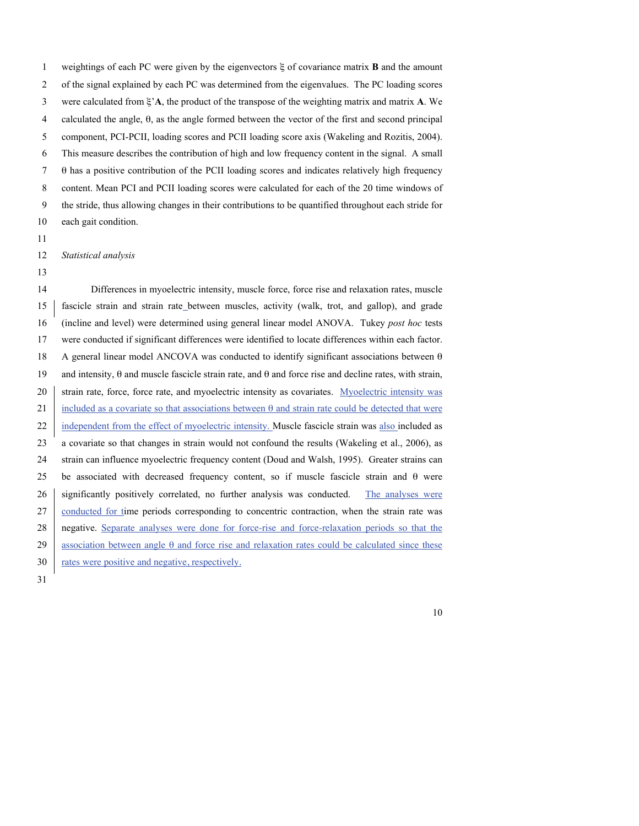weightings of each PC were given by the eigenvectors ξ of covariance matrix **B** and the amount of the signal explained by each PC was determined from the eigenvalues. The PC loading scores were calculated from ξ'**A**, the product of the transpose of the weighting matrix and matrix **A**. We calculated the angle, θ, as the angle formed between the vector of the first and second principal component, PCI-PCII, loading scores and PCII loading score axis (Wakeling and Rozitis, 2004). This measure describes the contribution of high and low frequency content in the signal. A small θ has a positive contribution of the PCII loading scores and indicates relatively high frequency content. Mean PCI and PCII loading scores were calculated for each of the 20 time windows of the stride, thus allowing changes in their contributions to be quantified throughout each stride for each gait condition.

*Statistical analysis*

 Differences in myoelectric intensity, muscle force, force rise and relaxation rates, muscle fascicle strain and strain rate between muscles, activity (walk, trot, and gallop), and grade (incline and level) were determined using general linear model ANOVA. Tukey *post hoc* tests were conducted if significant differences were identified to locate differences within each factor. A general linear model ANCOVA was conducted to identify significant associations between θ and intensity, θ and muscle fascicle strain rate, and θ and force rise and decline rates, with strain, 20 strain rate, force, force rate, and myoelectric intensity as covariates. Myoelectric intensity was 21 included as a covariate so that associations between  $\theta$  and strain rate could be detected that were 22 independent from the effect of myoelectric intensity. Muscle fascicle strain was also included as a covariate so that changes in strain would not confound the results (Wakeling et al., 2006), as strain can influence myoelectric frequency content (Doud and Walsh, 1995). Greater strains can be associated with decreased frequency content, so if muscle fascicle strain and θ were 26 significantly positively correlated, no further analysis was conducted. The analyses were 27 conducted for time periods corresponding to concentric contraction, when the strain rate was negative. Separate analyses were done for force-rise and force-relaxation periods so that the 29 association between angle  $\theta$  and force rise and relaxation rates could be calculated since these 30 rates were positive and negative, respectively.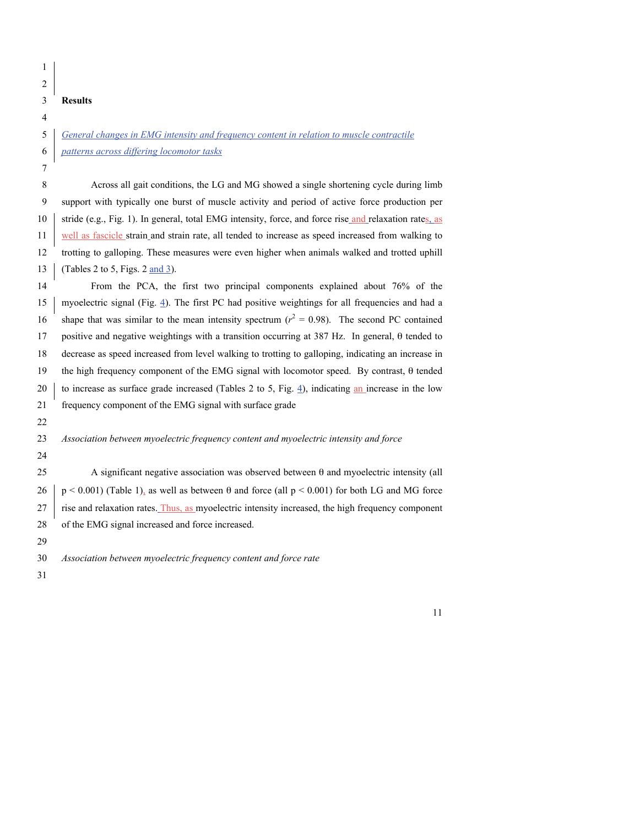#### **Results**

 *General changes in EMG intensity and frequency content in relation to muscle contractile patterns across differing locomotor tasks*

 Across all gait conditions, the LG and MG showed a single shortening cycle during limb support with typically one burst of muscle activity and period of active force production per 10 stride (e.g., Fig. 1). In general, total EMG intensity, force, and force rise and relaxation rates, as well as fascicle strain and strain rate, all tended to increase as speed increased from walking to trotting to galloping. These measures were even higher when animals walked and trotted uphill (Tables 2 to 5, Figs. 2 and 3).

 From the PCA, the first two principal components explained about 76% of the 15 myoelectric signal (Fig. 4). The first PC had positive weightings for all frequencies and had a 16 shape that was similar to the mean intensity spectrum  $(r^2 = 0.98)$ . The second PC contained 17 positive and negative weightings with a transition occurring at 387 Hz. In general,  $\theta$  tended to decrease as speed increased from level walking to trotting to galloping, indicating an increase in the high frequency component of the EMG signal with locomotor speed. By contrast, θ tended 20 to increase as surface grade increased (Tables 2 to 5, Fig. 4), indicating an increase in the low frequency component of the EMG signal with surface grade 

*Association between myoelectric frequency content and myoelectric intensity and force*

 A significant negative association was observed between θ and myoelectric intensity (all 26 p < 0.001) (Table 1), as well as between  $\theta$  and force (all p < 0.001) for both LG and MG force rise and relaxation rates. Thus, as myoelectric intensity increased, the high frequency component of the EMG signal increased and force increased.

*Association between myoelectric frequency content and force rate*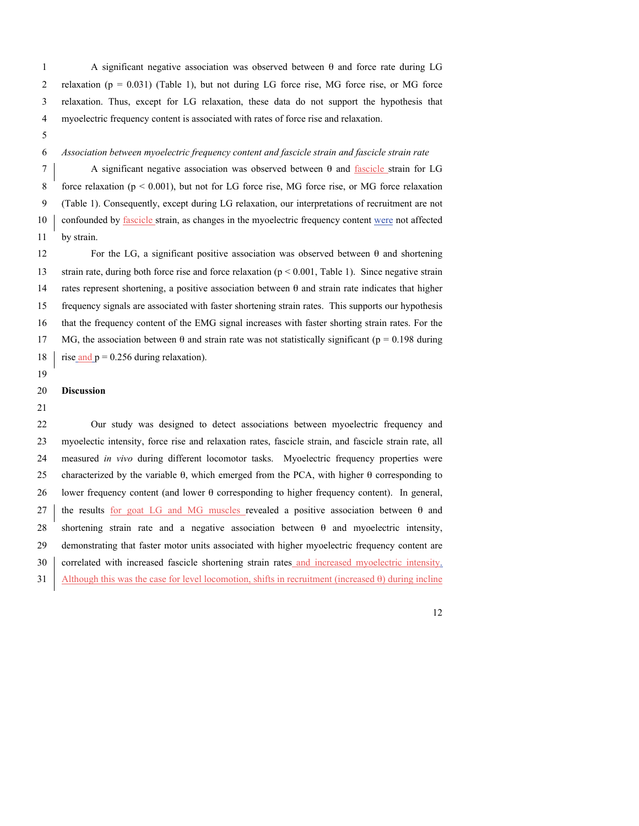A significant negative association was observed between θ and force rate during LG 2 relaxation ( $p = 0.031$ ) (Table 1), but not during LG force rise, MG force rise, or MG force relaxation. Thus, except for LG relaxation, these data do not support the hypothesis that myoelectric frequency content is associated with rates of force rise and relaxation.

#### *Association between myoelectric frequency content and fascicle strain and fascicle strain rate*

 A significant negative association was observed between θ and fascicle strain for LG force relaxation (p < 0.001), but not for LG force rise, MG force rise, or MG force relaxation (Table 1). Consequently, except during LG relaxation, our interpretations of recruitment are not 10 confounded by <u>fascicle</u> strain, as changes in the myoelectric frequency content were not affected by strain.

12 For the LG, a significant positive association was observed between  $\theta$  and shortening strain rate, during both force rise and force relaxation (p < 0.001, Table 1). Since negative strain 14 rates represent shortening, a positive association between  $\theta$  and strain rate indicates that higher frequency signals are associated with faster shortening strain rates. This supports our hypothesis that the frequency content of the EMG signal increases with faster shorting strain rates. For the 17 MG, the association between  $\theta$  and strain rate was not statistically significant ( $p = 0.198$  during 18 rise and  $p = 0.256$  during relaxation).

#### **Discussion**

 Our study was designed to detect associations between myoelectric frequency and myoelectic intensity, force rise and relaxation rates, fascicle strain, and fascicle strain rate, all measured *in vivo* during different locomotor tasks. Myoelectric frequency properties were characterized by the variable θ, which emerged from the PCA, with higher θ corresponding to lower frequency content (and lower θ corresponding to higher frequency content). In general, 27 the results for goat LG and MG muscles revealed a positive association between  $\theta$  and shortening strain rate and a negative association between θ and myoelectric intensity, demonstrating that faster motor units associated with higher myoelectric frequency content are 30 correlated with increased fascicle shortening strain rates and increased myoelectric intensity. Although this was the case for level locomotion, shifts in recruitment (increased θ) during incline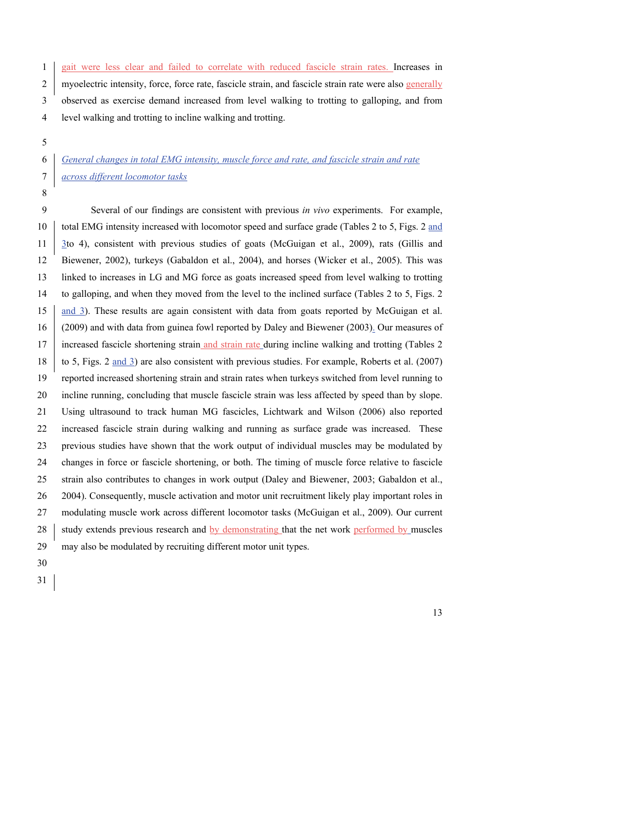1 gait were less clear and failed to correlate with reduced fascicle strain rates. Increases in 2 myoelectric intensity, force, force rate, fascicle strain, and fascicle strain rate were also generally observed as exercise demand increased from level walking to trotting to galloping, and from level walking and trotting to incline walking and trotting.

### *General changes in total EMG intensity, muscle force and rate, and fascicle strain and rate across different locomotor tasks*

 Several of our findings are consistent with previous *in vivo* experiments. For example, total EMG intensity increased with locomotor speed and surface grade (Tables 2 to 5, Figs. 2 and 3to 4), consistent with previous studies of goats (McGuigan et al., 2009), rats (Gillis and Biewener, 2002), turkeys (Gabaldon et al., 2004), and horses (Wicker et al., 2005). This was linked to increases in LG and MG force as goats increased speed from level walking to trotting to galloping, and when they moved from the level to the inclined surface (Tables 2 to 5, Figs. 2 and 3). These results are again consistent with data from goats reported by McGuigan et al. (2009) and with data from guinea fowl reported by Daley and Biewener (2003). Our measures of 17 increased fascicle shortening strain and strain rate during incline walking and trotting (Tables 2) to 5, Figs. 2 and 3) are also consistent with previous studies. For example, Roberts et al. (2007) reported increased shortening strain and strain rates when turkeys switched from level running to incline running, concluding that muscle fascicle strain was less affected by speed than by slope. Using ultrasound to track human MG fascicles, Lichtwark and Wilson (2006) also reported increased fascicle strain during walking and running as surface grade was increased. These previous studies have shown that the work output of individual muscles may be modulated by changes in force or fascicle shortening, or both. The timing of muscle force relative to fascicle strain also contributes to changes in work output (Daley and Biewener, 2003; Gabaldon et al., 2004). Consequently, muscle activation and motor unit recruitment likely play important roles in modulating muscle work across different locomotor tasks (McGuigan et al., 2009). Our current 28 study extends previous research and by demonstrating that the net work performed by muscles may also be modulated by recruiting different motor unit types.

- 
-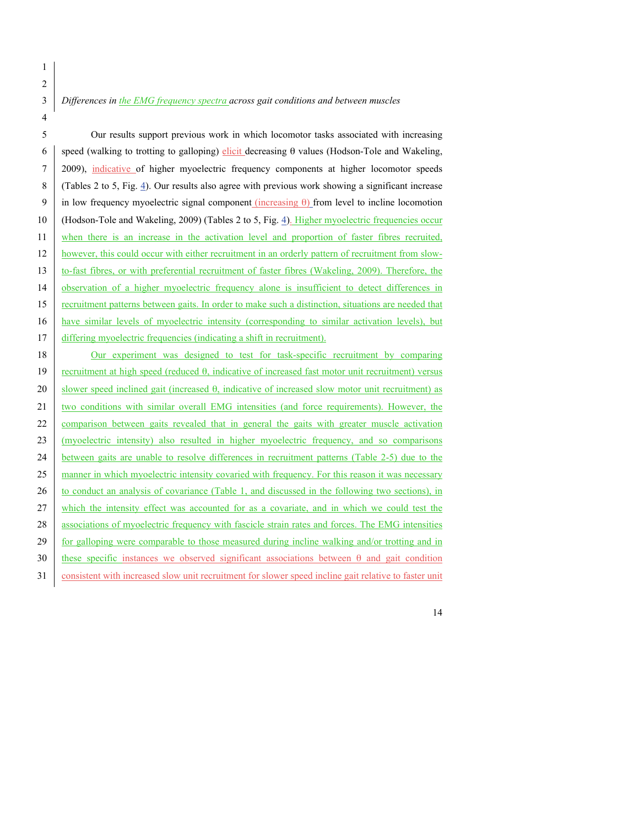*Differences in the EMG frequency spectra across gait conditions and between muscles*

 Our results support previous work in which locomotor tasks associated with increasing speed (walking to trotting to galloping) elicit decreasing θ values (Hodson-Tole and Wakeling, 2009), indicative of higher myoelectric frequency components at higher locomotor speeds (Tables 2 to 5, Fig. 4). Our results also agree with previous work showing a significant increase in low frequency myoelectric signal component (increasing θ) from level to incline locomotion (Hodson-Tole and Wakeling, 2009) (Tables 2 to 5, Fig. 4). Higher myoelectric frequencies occur when there is an increase in the activation level and proportion of faster fibres recruited, however, this could occur with either recruitment in an orderly pattern of recruitment from slow- to-fast fibres, or with preferential recruitment of faster fibres (Wakeling, 2009). Therefore, the 14 observation of a higher myoelectric frequency alone is insufficient to detect differences in recruitment patterns between gaits. In order to make such a distinction, situations are needed that have similar levels of myoelectric intensity (corresponding to similar activation levels), but 17 differing myoelectric frequencies (indicating a shift in recruitment).

 Our experiment was designed to test for task-specific recruitment by comparing recruitment at high speed (reduced θ, indicative of increased fast motor unit recruitment) versus 20 slower speed inclined gait (increased  $\theta$ , indicative of increased slow motor unit recruitment) as two conditions with similar overall EMG intensities (and force requirements). However, the 22 comparison between gaits revealed that in general the gaits with greater muscle activation (myoelectric intensity) also resulted in higher myoelectric frequency, and so comparisons between gaits are unable to resolve differences in recruitment patterns (Table 2-5) due to the 25 manner in which myoelectric intensity covaried with frequency. For this reason it was necessary 26 to conduct an analysis of covariance (Table 1, and discussed in the following two sections), in 27 which the intensity effect was accounted for as a covariate, and in which we could test the 28 associations of myoelectric frequency with fascicle strain rates and forces. The EMG intensities 29 for galloping were comparable to those measured during incline walking and/or trotting and in 30 these specific instances we observed significant associations between  $\theta$  and gait condition consistent with increased slow unit recruitment for slower speed incline gait relative to faster unit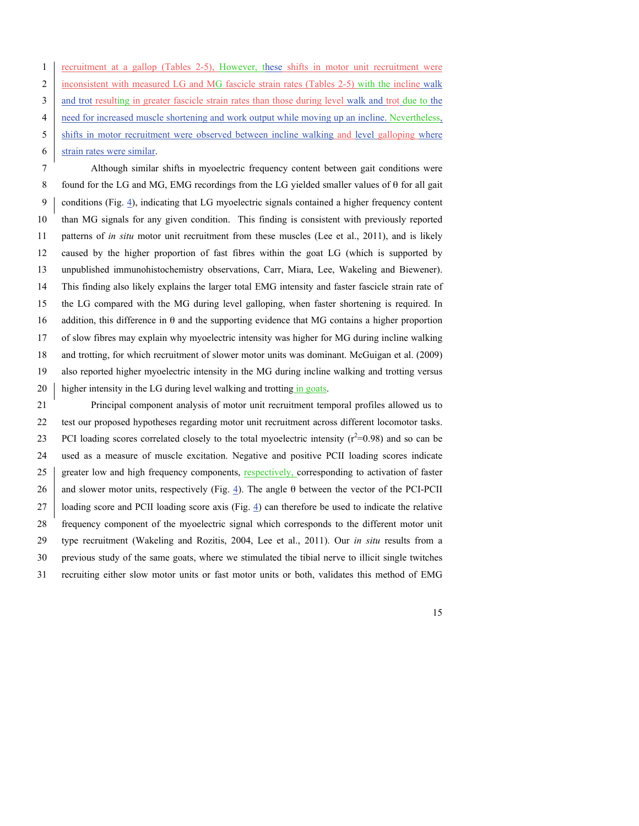|                | 1   recruitment at a gallop (Tables 2-5), However, these shifts in motor unit recruitment were       |
|----------------|------------------------------------------------------------------------------------------------------|
|                | 2 inconsistent with measured LG and MG fascicle strain rates (Tables 2-5) with the incline walk      |
| 3              | and trot resulting in greater fascicle strain rates than those during level walk and trot due to the |
| $\overline{4}$ | need for increased muscle shortening and work output while moving up an incline. Nevertheless,       |
| 5 <sup>7</sup> | shifts in motor recruitment were observed between incline walking and level galloping where          |
| 6              | strain rates were similar.                                                                           |

 Although similar shifts in myoelectric frequency content between gait conditions were found for the LG and MG, EMG recordings from the LG yielded smaller values of θ for all gait conditions (Fig. 4), indicating that LG myoelectric signals contained a higher frequency content than MG signals for any given condition. This finding is consistent with previously reported patterns of *in situ* motor unit recruitment from these muscles (Lee et al., 2011), and is likely caused by the higher proportion of fast fibres within the goat LG (which is supported by unpublished immunohistochemistry observations, Carr, Miara, Lee, Wakeling and Biewener). This finding also likely explains the larger total EMG intensity and faster fascicle strain rate of the LG compared with the MG during level galloping, when faster shortening is required. In addition, this difference in θ and the supporting evidence that MG contains a higher proportion of slow fibres may explain why myoelectric intensity was higher for MG during incline walking and trotting, for which recruitment of slower motor units was dominant. McGuigan et al. (2009) also reported higher myoelectric intensity in the MG during incline walking and trotting versus 20 higher intensity in the LG during level walking and trotting in goats.

 Principal component analysis of motor unit recruitment temporal profiles allowed us to test our proposed hypotheses regarding motor unit recruitment across different locomotor tasks. PCI loading scores correlated closely to the total myoelectric intensity  $(r^2=0.98)$  and so can be used as a measure of muscle excitation. Negative and positive PCII loading scores indicate 25 greater low and high frequency components, respectively, corresponding to activation of faster 26 and slower motor units, respectively (Fig. 4). The angle  $\theta$  between the vector of the PCI-PCII loading score and PCII loading score axis (Fig. 4) can therefore be used to indicate the relative frequency component of the myoelectric signal which corresponds to the different motor unit type recruitment (Wakeling and Rozitis, 2004, Lee et al., 2011). Our *in situ* results from a previous study of the same goats, where we stimulated the tibial nerve to illicit single twitches recruiting either slow motor units or fast motor units or both, validates this method of EMG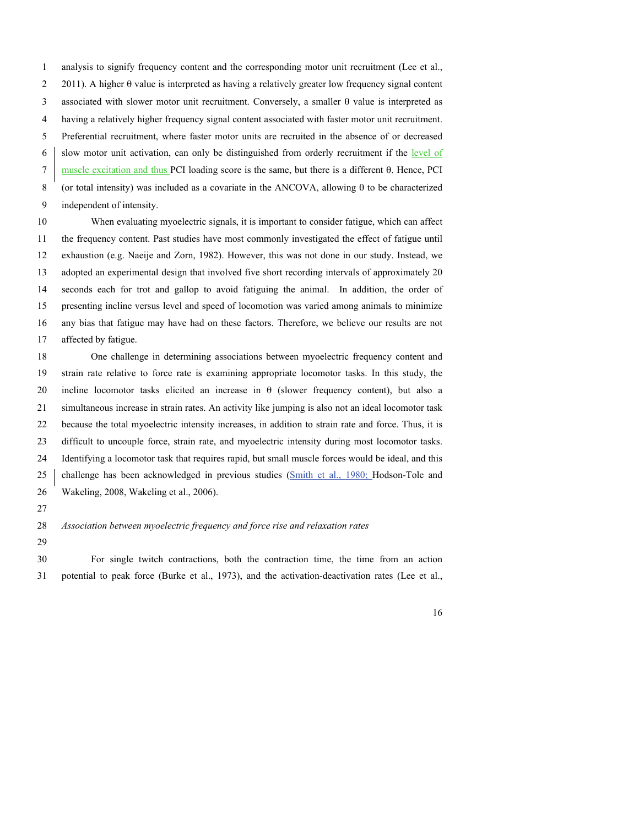analysis to signify frequency content and the corresponding motor unit recruitment (Lee et al., 2011). A higher θ value is interpreted as having a relatively greater low frequency signal content associated with slower motor unit recruitment. Conversely, a smaller θ value is interpreted as having a relatively higher frequency signal content associated with faster motor unit recruitment. Preferential recruitment, where faster motor units are recruited in the absence of or decreased 6 slow motor unit activation, can only be distinguished from orderly recruitment if the level of muscle excitation and thus PCI loading score is the same, but there is a different θ. Hence, PCI (or total intensity) was included as a covariate in the ANCOVA, allowing θ to be characterized independent of intensity.

 When evaluating myoelectric signals, it is important to consider fatigue, which can affect the frequency content. Past studies have most commonly investigated the effect of fatigue until exhaustion (e.g. Naeije and Zorn, 1982). However, this was not done in our study. Instead, we adopted an experimental design that involved five short recording intervals of approximately 20 seconds each for trot and gallop to avoid fatiguing the animal. In addition, the order of presenting incline versus level and speed of locomotion was varied among animals to minimize any bias that fatigue may have had on these factors. Therefore, we believe our results are not affected by fatigue.

 One challenge in determining associations between myoelectric frequency content and strain rate relative to force rate is examining appropriate locomotor tasks. In this study, the incline locomotor tasks elicited an increase in θ (slower frequency content), but also a simultaneous increase in strain rates. An activity like jumping is also not an ideal locomotor task because the total myoelectric intensity increases, in addition to strain rate and force. Thus, it is difficult to uncouple force, strain rate, and myoelectric intensity during most locomotor tasks. Identifying a locomotor task that requires rapid, but small muscle forces would be ideal, and this 25 challenge has been acknowledged in previous studies (Smith et al., 1980; Hodson-Tole and Wakeling, 2008, Wakeling et al., 2006).

- 
- *Association between myoelectric frequency and force rise and relaxation rates*
- 

 For single twitch contractions, both the contraction time, the time from an action potential to peak force (Burke et al., 1973), and the activation-deactivation rates (Lee et al.,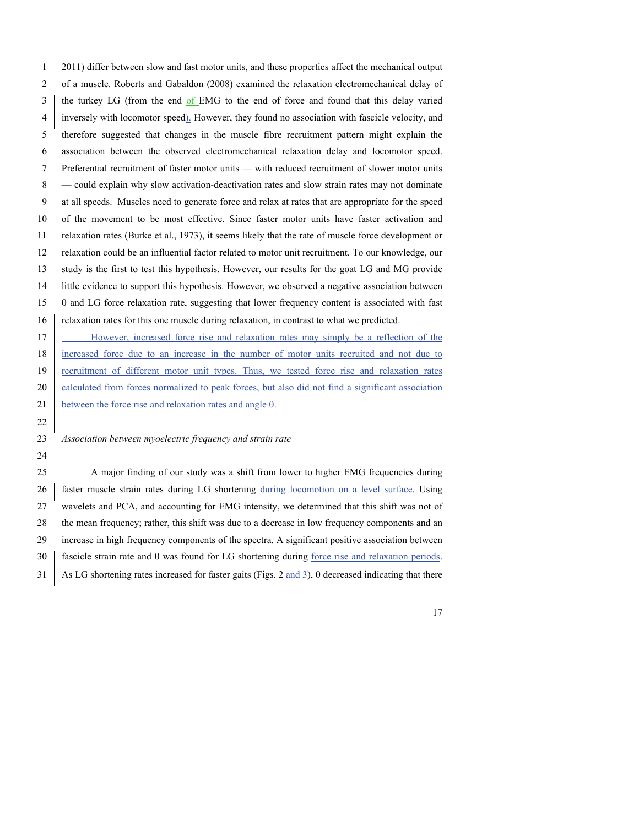2011) differ between slow and fast motor units, and these properties affect the mechanical output of a muscle. Roberts and Gabaldon (2008) examined the relaxation electromechanical delay of the turkey LG (from the end of EMG to the end of force and found that this delay varied inversely with locomotor speed). However, they found no association with fascicle velocity, and therefore suggested that changes in the muscle fibre recruitment pattern might explain the association between the observed electromechanical relaxation delay and locomotor speed. Preferential recruitment of faster motor units — with reduced recruitment of slower motor units — could explain why slow activation-deactivation rates and slow strain rates may not dominate at all speeds. Muscles need to generate force and relax at rates that are appropriate for the speed of the movement to be most effective. Since faster motor units have faster activation and relaxation rates (Burke et al., 1973), it seems likely that the rate of muscle force development or relaxation could be an influential factor related to motor unit recruitment. To our knowledge, our study is the first to test this hypothesis. However, our results for the goat LG and MG provide little evidence to support this hypothesis. However, we observed a negative association between θ and LG force relaxation rate, suggesting that lower frequency content is associated with fast 16 relaxation rates for this one muscle during relaxation, in contrast to what we predicted. However, increased force rise and relaxation rates may simply be a reflection of the increased force due to an increase in the number of motor units recruited and not due to recruitment of different motor unit types. Thus, we tested force rise and relaxation rates

20 calculated from forces normalized to peak forces, but also did not find a significant association 21 between the force rise and relaxation rates and angle  $\theta$ .

### *Association between myoelectric frequency and strain rate*

 A major finding of our study was a shift from lower to higher EMG frequencies during 26 faster muscle strain rates during LG shortening during locomotion on a level surface. Using wavelets and PCA, and accounting for EMG intensity, we determined that this shift was not of the mean frequency; rather, this shift was due to a decrease in low frequency components and an increase in high frequency components of the spectra. A significant positive association between 30 fascicle strain rate and  $\theta$  was found for LG shortening during force rise and relaxation periods. As LG shortening rates increased for faster gaits (Figs. 2 and 3), θ decreased indicating that there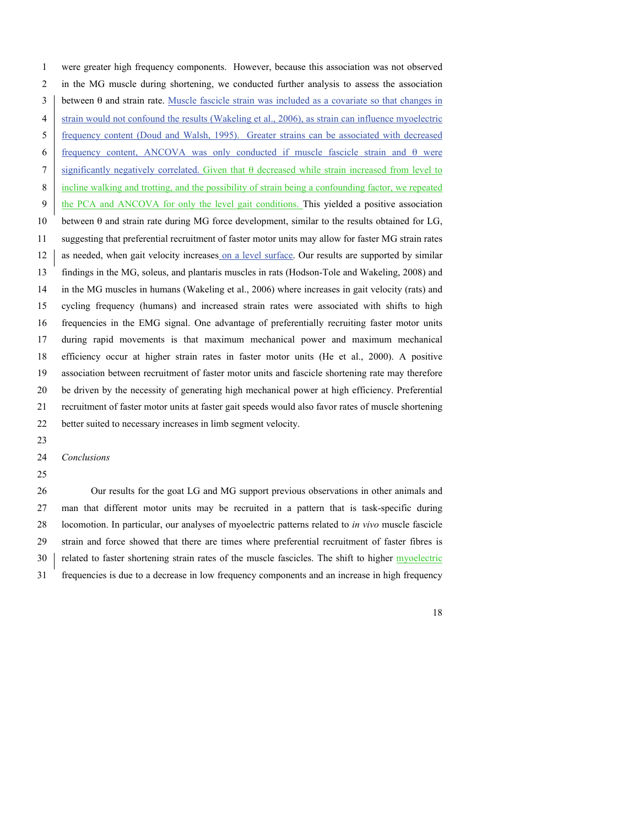were greater high frequency components. However, because this association was not observed in the MG muscle during shortening, we conducted further analysis to assess the association 3 between  $\theta$  and strain rate. Muscle fascicle strain was included as a covariate so that changes in 4 strain would not confound the results (Wakeling et al., 2006), as strain can influence myoelectric frequency content (Doud and Walsh, 1995). Greater strains can be associated with decreased frequency content, ANCOVA was only conducted if muscle fascicle strain and θ were significantly negatively correlated. Given that θ decreased while strain increased from level to incline walking and trotting, and the possibility of strain being a confounding factor, we repeated the PCA and ANCOVA for only the level gait conditions. This yielded a positive association between θ and strain rate during MG force development, similar to the results obtained for LG, suggesting that preferential recruitment of faster motor units may allow for faster MG strain rates 12 as needed, when gait velocity increases on a level surface. Our results are supported by similar findings in the MG, soleus, and plantaris muscles in rats (Hodson-Tole and Wakeling, 2008) and in the MG muscles in humans (Wakeling et al., 2006) where increases in gait velocity (rats) and cycling frequency (humans) and increased strain rates were associated with shifts to high frequencies in the EMG signal. One advantage of preferentially recruiting faster motor units during rapid movements is that maximum mechanical power and maximum mechanical efficiency occur at higher strain rates in faster motor units (He et al., 2000). A positive association between recruitment of faster motor units and fascicle shortening rate may therefore be driven by the necessity of generating high mechanical power at high efficiency. Preferential recruitment of faster motor units at faster gait speeds would also favor rates of muscle shortening better suited to necessary increases in limb segment velocity.

*Conclusions*

 Our results for the goat LG and MG support previous observations in other animals and man that different motor units may be recruited in a pattern that is task-specific during locomotion. In particular, our analyses of myoelectric patterns related to *in vivo* muscle fascicle strain and force showed that there are times where preferential recruitment of faster fibres is 30 related to faster shortening strain rates of the muscle fascicles. The shift to higher myoelectric frequencies is due to a decrease in low frequency components and an increase in high frequency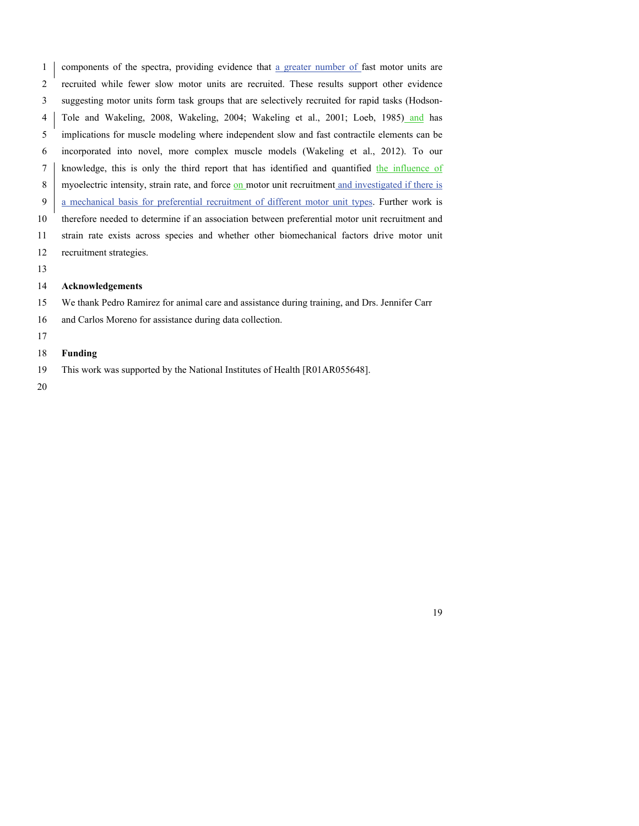components of the spectra, providing evidence that a greater number of fast motor units are recruited while fewer slow motor units are recruited. These results support other evidence suggesting motor units form task groups that are selectively recruited for rapid tasks (Hodson- Tole and Wakeling, 2008, Wakeling, 2004; Wakeling et al., 2001; Loeb, 1985) and has implications for muscle modeling where independent slow and fast contractile elements can be incorporated into novel, more complex muscle models (Wakeling et al., 2012). To our knowledge, this is only the third report that has identified and quantified the influence of 8 myoelectric intensity, strain rate, and force on motor unit recruitment and investigated if there is a mechanical basis for preferential recruitment of different motor unit types. Further work is therefore needed to determine if an association between preferential motor unit recruitment and strain rate exists across species and whether other biomechanical factors drive motor unit recruitment strategies.

#### **Acknowledgements**

We thank Pedro Ramirez for animal care and assistance during training, and Drs. Jennifer Carr

- and Carlos Moreno for assistance during data collection.
- 

#### **Funding**

This work was supported by the National Institutes of Health [R01AR055648].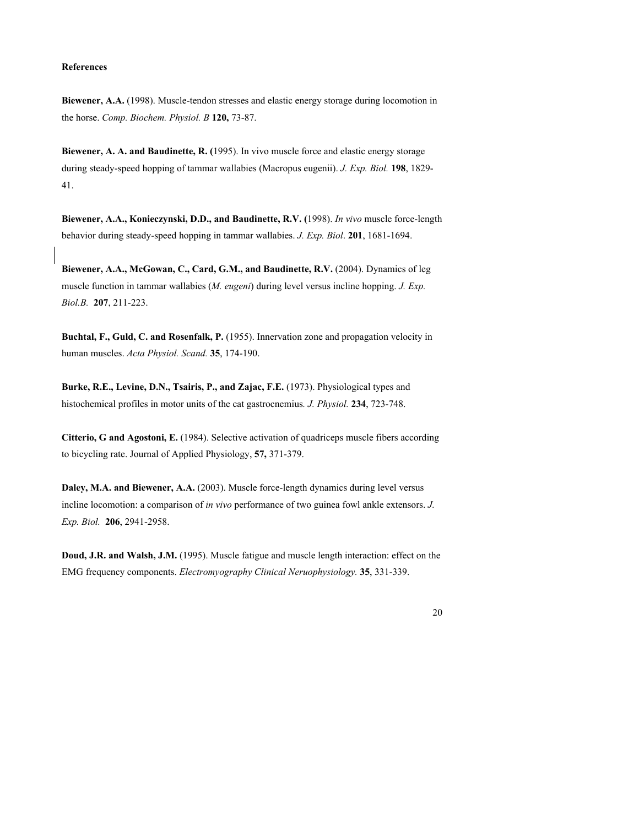#### **References**

**Biewener, A.A.** (1998). Muscle-tendon stresses and elastic energy storage during locomotion in the horse. *Comp. Biochem. Physiol. B* **120,** 73-87.

**Biewener, A. A. and Baudinette, R. (**1995). In vivo muscle force and elastic energy storage during steady-speed hopping of tammar wallabies (Macropus eugenii). *J. Exp. Biol.* **198**, 1829- 41.

**Biewener, A.A., Konieczynski, D.D., and Baudinette, R.V. (**1998). *In vivo* muscle force-length behavior during steady-speed hopping in tammar wallabies. *J. Exp. Biol*. **201**, 1681-1694.

**Biewener, A.A., McGowan, C., Card, G.M., and Baudinette, R.V.** (2004). Dynamics of leg muscle function in tammar wallabies (*M. eugeni*) during level versus incline hopping. *J. Exp. Biol.B.* **207**, 211-223.

**Buchtal, F., Guld, C. and Rosenfalk, P.** (1955). Innervation zone and propagation velocity in human muscles. *Acta Physiol. Scand.* **35**, 174-190.

**Burke, R.E., Levine, D.N., Tsairis, P., and Zajac, F.E.** (1973). Physiological types and histochemical profiles in motor units of the cat gastrocnemius*. J. Physiol.* **234**, 723-748.

**Citterio, G and Agostoni, E.** (1984). Selective activation of quadriceps muscle fibers according to bicycling rate. Journal of Applied Physiology, **57,** 371-379.

**Daley, M.A. and Biewener, A.A.** (2003). Muscle force-length dynamics during level versus incline locomotion: a comparison of *in vivo* performance of two guinea fowl ankle extensors. *J. Exp. Biol.* **206**, 2941-2958.

**Doud, J.R. and Walsh, J.M.** (1995). Muscle fatigue and muscle length interaction: effect on the EMG frequency components. *Electromyography Clinical Neruophysiology.* **35**, 331-339.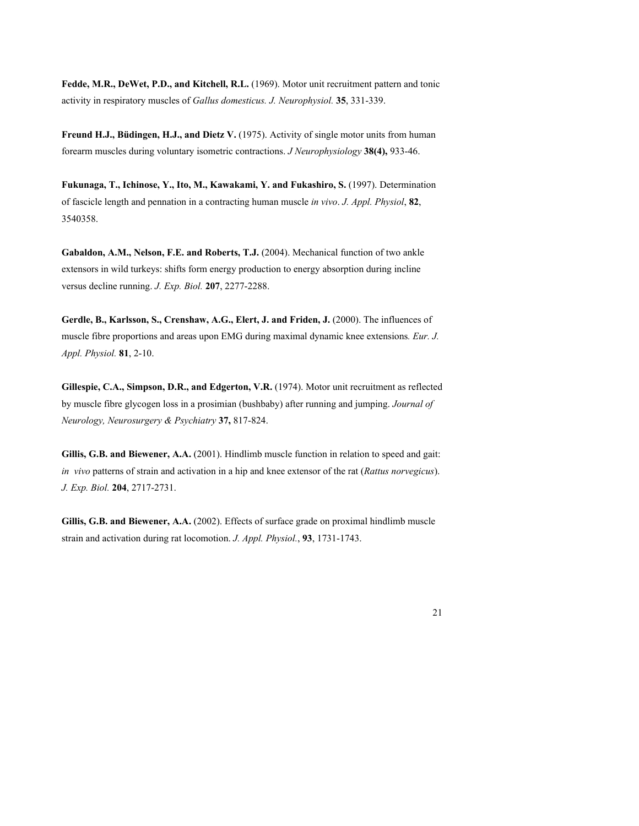**Fedde, M.R., DeWet, P.D., and Kitchell, R.L.** (1969). Motor unit recruitment pattern and tonic activity in respiratory muscles of *Gallus domesticus. J. Neurophysiol.* **35**, 331-339.

**Freund H.J., Büdingen, H.J., and Dietz V.** (1975). Activity of single motor units from human forearm muscles during voluntary isometric contractions. *J Neurophysiology* **38(4),** 933-46.

**Fukunaga, T., Ichinose, Y., Ito, M., Kawakami, Y. and Fukashiro, S.** (1997). Determination of fascicle length and pennation in a contracting human muscle *in vivo*. *J. Appl. Physiol*, **82**, 3540358.

**Gabaldon, A.M., Nelson, F.E. and Roberts, T.J.** (2004). Mechanical function of two ankle extensors in wild turkeys: shifts form energy production to energy absorption during incline versus decline running. *J. Exp. Biol.* **207**, 2277-2288.

**Gerdle, B., Karlsson, S., Crenshaw, A.G., Elert, J. and Friden, J.** (2000). The influences of muscle fibre proportions and areas upon EMG during maximal dynamic knee extensions*. Eur. J. Appl. Physiol.* **81**, 2-10.

**Gillespie, C.A., Simpson, D.R., and Edgerton, V.R.** (1974). Motor unit recruitment as reflected by muscle fibre glycogen loss in a prosimian (bushbaby) after running and jumping. *Journal of Neurology, Neurosurgery & Psychiatry* **37,** 817-824.

**Gillis, G.B. and Biewener, A.A.** (2001). Hindlimb muscle function in relation to speed and gait: *in vivo* patterns of strain and activation in a hip and knee extensor of the rat (*Rattus norvegicus*). *J. Exp. Biol.* **204**, 2717-2731.

**Gillis, G.B. and Biewener, A.A.** (2002). Effects of surface grade on proximal hindlimb muscle strain and activation during rat locomotion. *J. Appl. Physiol.*, **93**, 1731-1743.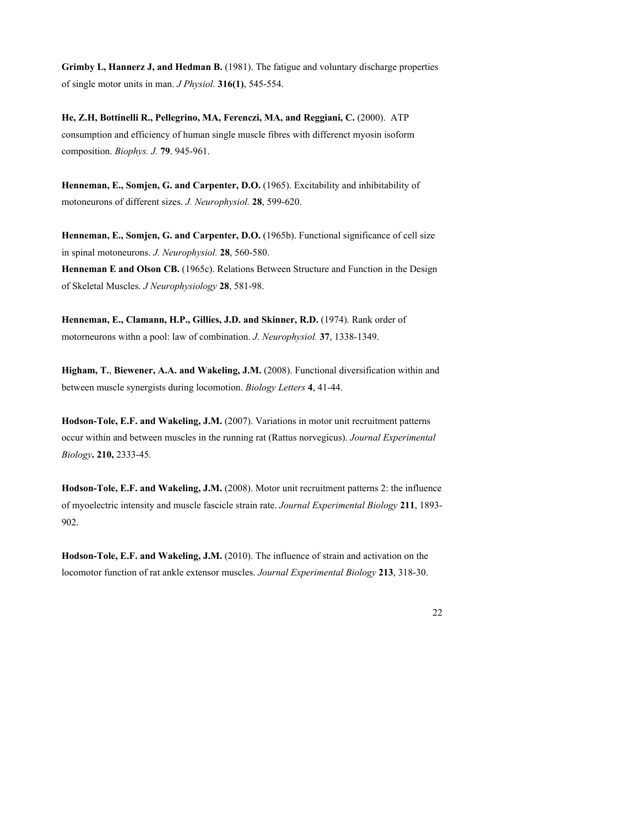**Grimby L, Hannerz J, and Hedman B.** (1981). The fatigue and voluntary discharge properties of single motor units in man. *J Physiol.* **316(1)**, 545-554.

**He, Z.H, Bottinelli R., Pellegrino, MA, Ferenczi, MA, and Reggiani, C.** (2000). ATP consumption and efficiency of human single muscle fibres with differenct myosin isoform composition. *Biophys. J.* **79**. 945-961.

**Henneman, E., Somjen, G. and Carpenter, D.O.** (1965). Excitability and inhibitability of motoneurons of different sizes. *J. Neurophysiol.* **28**, 599-620.

**Henneman, E., Somjen, G. and Carpenter, D.O.** (1965b). Functional significance of cell size in spinal motoneurons. *J. Neurophysiol.* **28**, 560-580. **Henneman E and Olson CB.** (1965c). Relations Between Structure and Function in the Design of Skeletal Muscles. *J Neurophysiology* **28**, 581-98.

**Henneman, E., Clamann, H.P., Gillies, J.D. and Skinner, R.D.** (1974). Rank order of motorneurons withn a pool: law of combination. *J. Neurophysiol.* **37**, 1338-1349.

**Higham, T.**, **Biewener, A.A. and Wakeling, J.M.** (2008). Functional diversification within and between muscle synergists during locomotion. *Biology Letters* **4**, 41-44.

**Hodson-Tole, E.F. and Wakeling, J.M.** (2007). Variations in motor unit recruitment patterns occur within and between muscles in the running rat (Rattus norvegicus). *Journal Experimental Biology***. 210,** 2333-45.

**Hodson-Tole, E.F. and Wakeling, J.M.** (2008). Motor unit recruitment patterns 2: the influence of myoelectric intensity and muscle fascicle strain rate. *Journal Experimental Biology* **211**, 1893- 902.

**Hodson-Tole, E.F. and Wakeling, J.M.** (2010). The influence of strain and activation on the locomotor function of rat ankle extensor muscles. *Journal Experimental Biology* **213**, 318-30.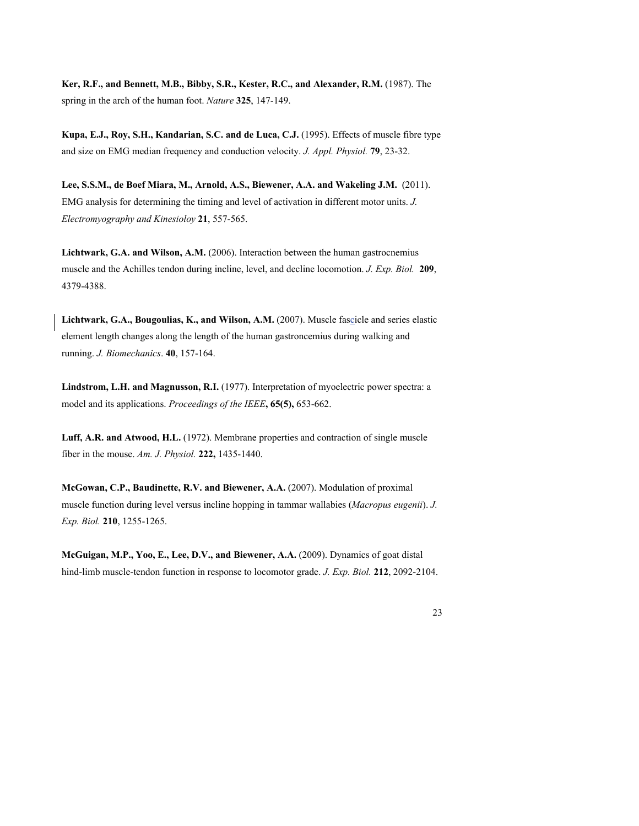**Ker, R.F., and Bennett, M.B., Bibby, S.R., Kester, R.C., and Alexander, R.M.** (1987). The spring in the arch of the human foot. *Nature* **325**, 147-149.

**Kupa, E.J., Roy, S.H., Kandarian, S.C. and de Luca, C.J.** (1995). Effects of muscle fibre type and size on EMG median frequency and conduction velocity. *J. Appl. Physiol.* **79**, 23-32.

**Lee, S.S.M., de Boef Miara, M., Arnold, A.S., Biewener, A.A. and Wakeling J.M.** (2011). EMG analysis for determining the timing and level of activation in different motor units. *J. Electromyography and Kinesioloy* **21**, 557-565.

**Lichtwark, G.A. and Wilson, A.M.** (2006). Interaction between the human gastrocnemius muscle and the Achilles tendon during incline, level, and decline locomotion. *J. Exp. Biol.* **209**, 4379-4388.

**Lichtwark, G.A., Bougoulias, K., and Wilson, A.M.** (2007). Muscle fascicle and series elastic element length changes along the length of the human gastroncemius during walking and running. *J. Biomechanics*. **40**, 157-164.

**Lindstrom, L.H. and Magnusson, R.I.** (1977). Interpretation of myoelectric power spectra: a model and its applications. *Proceedings of the IEEE***, 65(5),** 653-662.

**Luff, A.R. and Atwood, H.L.** (1972). Membrane properties and contraction of single muscle fiber in the mouse. *Am. J. Physiol.* **222,** 1435-1440.

**McGowan, C.P., Baudinette, R.V. and Biewener, A.A.** (2007). Modulation of proximal muscle function during level versus incline hopping in tammar wallabies (*Macropus eugenii*). *J. Exp. Biol.* **210**, 1255-1265.

**McGuigan, M.P., Yoo, E., Lee, D.V., and Biewener, A.A.** (2009). Dynamics of goat distal hind-limb muscle-tendon function in response to locomotor grade. *J. Exp. Biol.* **212**, 2092-2104.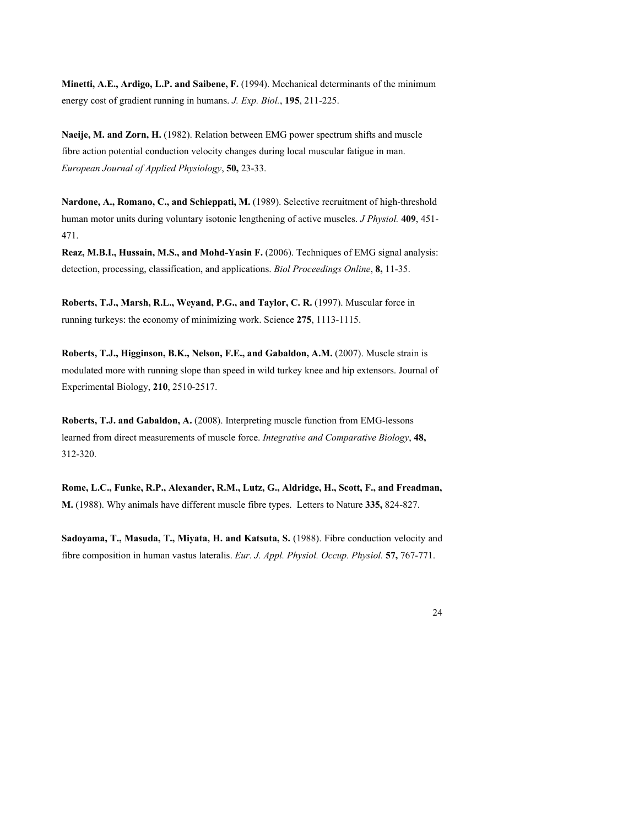**Minetti, A.E., Ardigo, L.P. and Saibene, F.** (1994). Mechanical determinants of the minimum energy cost of gradient running in humans. *J. Exp. Biol.*, **195**, 211-225.

**Naeije, M. and Zorn, H.** (1982). Relation between EMG power spectrum shifts and muscle fibre action potential conduction velocity changes during local muscular fatigue in man. *European Journal of Applied Physiology*, **50,** 23-33.

**Nardone, A., Romano, C., and Schieppati, M.** (1989). Selective recruitment of high-threshold human motor units during voluntary isotonic lengthening of active muscles. *J Physiol.* **409**, 451- 471.

**Reaz, M.B.I., Hussain, M.S., and Mohd-Yasin F.** (2006). Techniques of EMG signal analysis: detection, processing, classification, and applications. *Biol Proceedings Online*, **8,** 11-35.

Roberts, T.J., Marsh, R.L., Weyand, P.G., and Taylor, C. R. (1997). Muscular force in running turkeys: the economy of minimizing work. Science **275**, 1113-1115.

**Roberts, T.J., Higginson, B.K., Nelson, F.E., and Gabaldon, A.M.** (2007). Muscle strain is modulated more with running slope than speed in wild turkey knee and hip extensors. Journal of Experimental Biology, **210**, 2510-2517.

**Roberts, T.J. and Gabaldon, A.** (2008). Interpreting muscle function from EMG-lessons learned from direct measurements of muscle force. *Integrative and Comparative Biology*, **48,** 312-320.

**Rome, L.C., Funke, R.P., Alexander, R.M., Lutz, G., Aldridge, H., Scott, F., and Freadman, M.** (1988). Why animals have different muscle fibre types. Letters to Nature **335,** 824-827.

**Sadoyama, T., Masuda, T., Miyata, H. and Katsuta, S.** (1988). Fibre conduction velocity and fibre composition in human vastus lateralis. *Eur. J. Appl. Physiol. Occup. Physiol.* **57,** 767-771.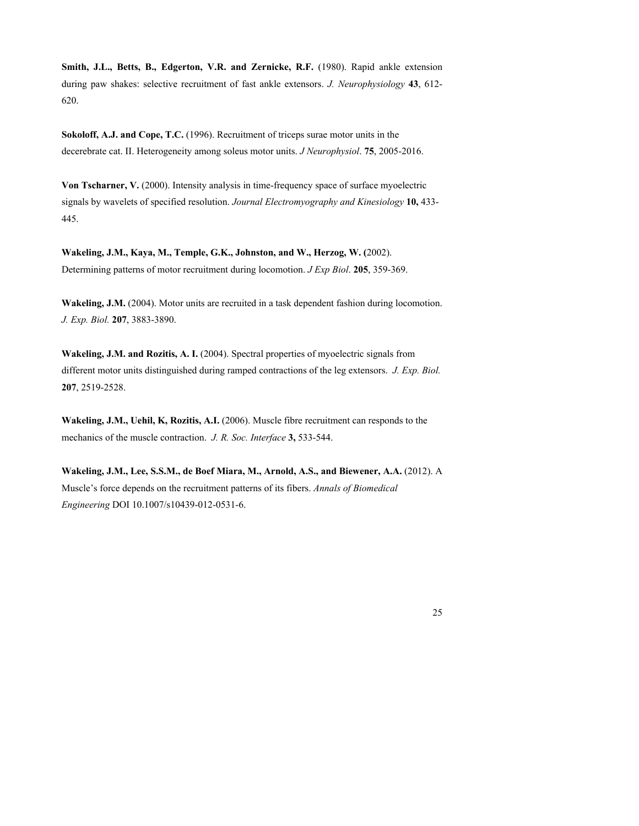**Smith, J.L., Betts, B., Edgerton, V.R. and Zernicke, R.F.** (1980). Rapid ankle extension during paw shakes: selective recruitment of fast ankle extensors. *J. Neurophysiology* **43**, 612- 620.

**Sokoloff, A.J. and Cope, T.C.** (1996). Recruitment of triceps surae motor units in the decerebrate cat. II. Heterogeneity among soleus motor units. *J Neurophysiol*. **75**, 2005-2016.

**Von Tscharner, V.** (2000). Intensity analysis in time-frequency space of surface myoelectric signals by wavelets of specified resolution. *Journal Electromyography and Kinesiology* **10,** 433- 445.

**Wakeling, J.M., Kaya, M., Temple, G.K., Johnston, and W., Herzog, W. (**2002). Determining patterns of motor recruitment during locomotion. *J Exp Biol*. **205**, 359-369.

**Wakeling, J.M.** (2004). Motor units are recruited in a task dependent fashion during locomotion. *J. Exp. Biol.* **207**, 3883-3890.

**Wakeling, J.M. and Rozitis, A. I.** (2004). Spectral properties of myoelectric signals from different motor units distinguished during ramped contractions of the leg extensors. *J. Exp. Biol.* **207**, 2519-2528.

**Wakeling, J.M., Uehil, K, Rozitis, A.I.** (2006). Muscle fibre recruitment can responds to the mechanics of the muscle contraction. *J. R. Soc. Interface* **3,** 533-544.

**Wakeling, J.M., Lee, S.S.M., de Boef Miara, M., Arnold, A.S., and Biewener, A.A.** (2012). A Muscle's force depends on the recruitment patterns of its fibers. *Annals of Biomedical Engineering* DOI 10.1007/s10439-012-0531-6.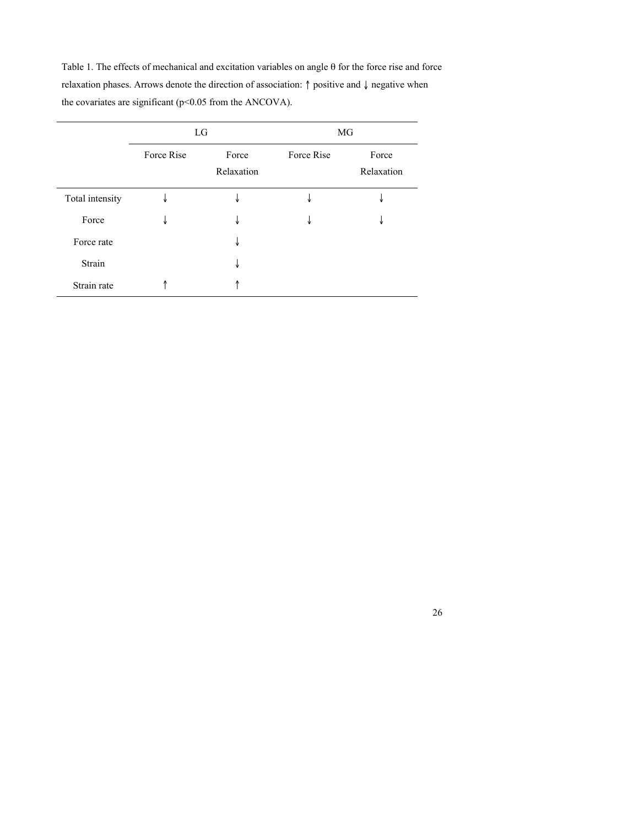Table 1. The effects of mechanical and excitation variables on angle  $\theta$  for the force rise and force relaxation phases. Arrows denote the direction of association: ↑ positive and ↓ negative when the covariates are significant (p<0.05 from the ANCOVA).

|                 | LG         |                     | MG         |                     |
|-----------------|------------|---------------------|------------|---------------------|
|                 | Force Rise | Force<br>Relaxation | Force Rise | Force<br>Relaxation |
| Total intensity | small      |                     |            |                     |
| Force           | ₩          | ₩                   |            | Ψ                   |
| Force rate      |            | Ψ                   |            |                     |
| Strain          |            | ₩                   |            |                     |
| Strain rate     |            |                     |            |                     |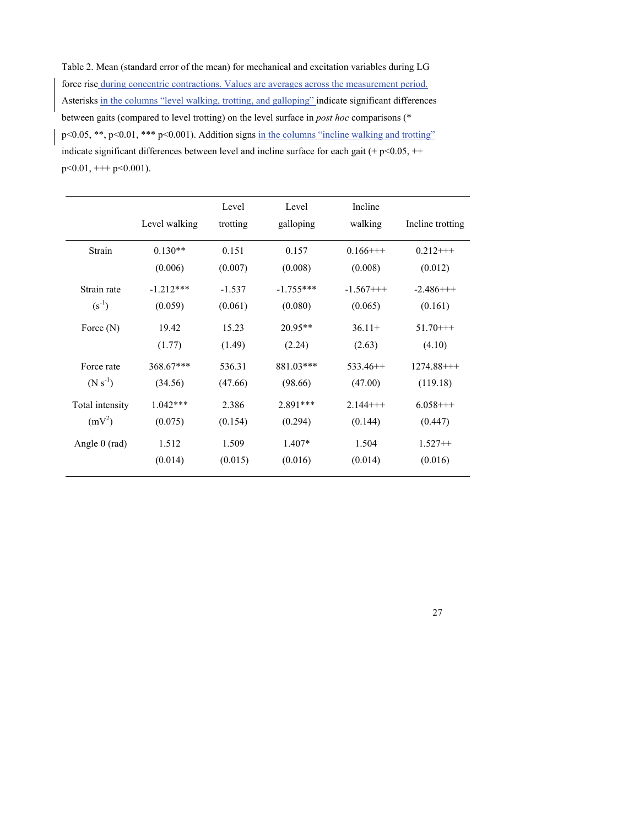Table 2. Mean (standard error of the mean) for mechanical and excitation variables during LG force rise during concentric contractions. Values are averages across the measurement period. Asterisks in the columns "level walking, trotting, and galloping" indicate significant differences between gaits (compared to level trotting) on the level surface in *post hoc* comparisons (\* p<0.05, \*\*, p<0.01, \*\*\* p<0.001). Addition signs in the columns "incline walking and trotting" indicate significant differences between level and incline surface for each gait (+  $p$  < 0.05, ++  $p<0.01,$  +++  $p<0.001$ ).

|                 | Level walking | Level<br>trotting | Level<br>galloping | Incline<br>walking | Incline trotting |
|-----------------|---------------|-------------------|--------------------|--------------------|------------------|
| Strain          | $0.130**$     | 0.151             | 0.157              | $0.166++$          | $0.212++$        |
|                 | (0.006)       | (0.007)           | (0.008)            | (0.008)            | (0.012)          |
| Strain rate     | $-1.212***$   | $-1.537$          | $-1.755***$        | $-1.567++$         | $-2.486++$       |
| $(s^{-1})$      | (0.059)       | (0.061)           | (0.080)            | (0.065)            | (0.161)          |
| Force $(N)$     | 19.42         | 15.23             | $20.95**$          | $36.11+$           | $51.70++$        |
|                 | (1.77)        | (1.49)            | (2.24)             | (2.63)             | (4.10)           |
| Force rate      | 368.67***     | 536.31            | 881.03***          | $533.46++$         | $1274.88++$      |
| $(N s^{-1})$    | (34.56)       | (47.66)           | (98.66)            | (47.00)            | (119.18)         |
| Total intensity | $1.042***$    | 2.386             | 2.891***           | $2.144++$          | $6.058++$        |
| $(mV^2)$        | (0.075)       | (0.154)           | (0.294)            | (0.144)            | (0.447)          |
| Angle θ (rad)   | 1.512         | 1.509             | $1.407*$           | 1.504              | $1.527++$        |
|                 | (0.014)       | (0.015)           | (0.016)            | (0.014)            | (0.016)          |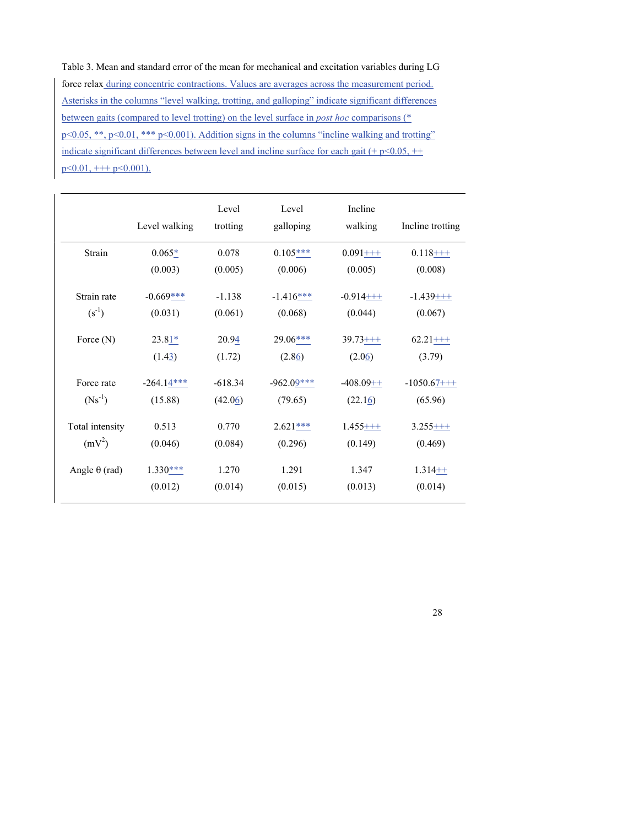Table 3. Mean and standard error of the mean for mechanical and excitation variables during LG force relax during concentric contractions. Values are averages across the measurement period. Asterisks in the columns "level walking, trotting, and galloping" indicate significant differences between gaits (compared to level trotting) on the level surface in *post hoc* comparisons (\* p<0.05, \*\*, p<0.01, \*\*\* p<0.001). Addition signs in the columns "incline walking and trotting" indicate significant differences between level and incline surface for each gait (+  $p$  < 0.05, ++  $p \le 0.01, \pm + + p \le 0.001$ ).

|                 | Level walking | Level<br>trotting | Level<br>galloping | Incline<br>walking | Incline trotting |
|-----------------|---------------|-------------------|--------------------|--------------------|------------------|
| Strain          | $0.065*$      | 0.078             | $0.105***$         | $0.091 + + +$      | $0.118 + +$      |
|                 | (0.003)       | (0.005)           | (0.006)            | (0.005)            | (0.008)          |
| Strain rate     | $-0.669***$   | $-1.138$          | $-1.416***$        | $-0.914$ +++       | $-1.439++$       |
| $(s^{-1})$      | (0.031)       | (0.061)           | (0.068)            | (0.044)            | (0.067)          |
| Force $(N)$     | $23.81*$      | 20.94             | $29.06***$         | $39.73 + + +$      | $62.21 + + +$    |
|                 | (1.43)        | (1.72)            | (2.86)             | (2.06)             | (3.79)           |
| Force rate      | $-264.14***$  | $-618.34$         | $-962.09***$       | $-408.09++$        | $-1050.67++$     |
| $(Ns^{-1})$     | (15.88)       | (42.06)           | (79.65)            | (22.16)            | (65.96)          |
| Total intensity | 0.513         | 0.770             | $2.621***$         | $1.455++$          | $3.255++$        |
| $(mV^2)$        | (0.046)       | (0.084)           | (0.296)            | (0.149)            | (0.469)          |
| Angle θ (rad)   | $1.330***$    | 1.270             | 1.291              | 1.347              | $1.314++$        |
|                 | (0.012)       | (0.014)           | (0.015)            | (0.013)            | (0.014)          |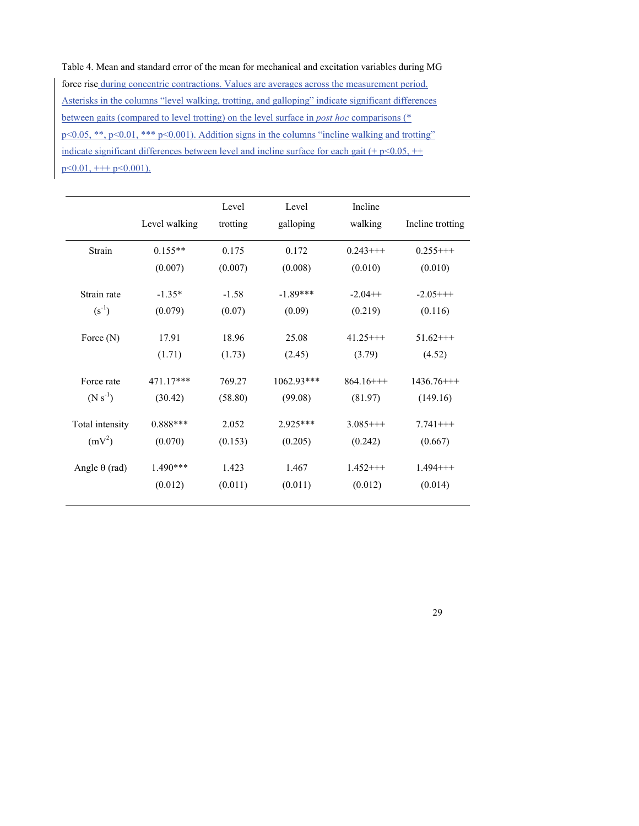Table 4. Mean and standard error of the mean for mechanical and excitation variables during MG force rise during concentric contractions. Values are averages across the measurement period. Asterisks in the columns "level walking, trotting, and galloping" indicate significant differences between gaits (compared to level trotting) on the level surface in *post hoc* comparisons (\* p<0.05, \*\*, p<0.01, \*\*\* p<0.001). Addition signs in the columns "incline walking and trotting" indicate significant differences between level and incline surface for each gait (+  $p$  < 0.05, ++  $p \le 0.01, \pm + + p \le 0.001$ ).

| Level walking | Level<br>trotting | Level<br>galloping | Incline<br>walking | Incline trotting         |
|---------------|-------------------|--------------------|--------------------|--------------------------|
| $0.155**$     | 0.175             | 0.172              | $0.243++$          | $0.255++$                |
| (0.007)       | (0.007)           | (0.008)            | (0.010)            | (0.010)                  |
| $-1.35*$      | $-1.58$           | $-1.89***$         | $-2.04++$          | $-2.05$ +++              |
| (0.079)       | (0.07)            | (0.09)             | (0.219)            | (0.116)                  |
| 17.91         | 18.96             | 25.08              | $41.25$ +++        | $51.62++$                |
| (1.71)        | (1.73)            | (2.45)             | (3.79)             | (4.52)                   |
| 471.17***     | 769.27            | $1062.93***$       | $864.16++$         | $1436.76$ <sup>+++</sup> |
| (30.42)       | (58.80)           | (99.08)            | (81.97)            | (149.16)                 |
| $0.888***$    | 2.052             | 2.925***           | $3.085++$          | $7.741++$                |
| (0.070)       | (0.153)           | (0.205)            | (0.242)            | (0.667)                  |
| $1.490***$    | 1.423             | 1.467              | $1.452++$          | $1.494++$                |
| (0.012)       | (0.011)           | (0.011)            | (0.012)            | (0.014)                  |
|               |                   |                    |                    |                          |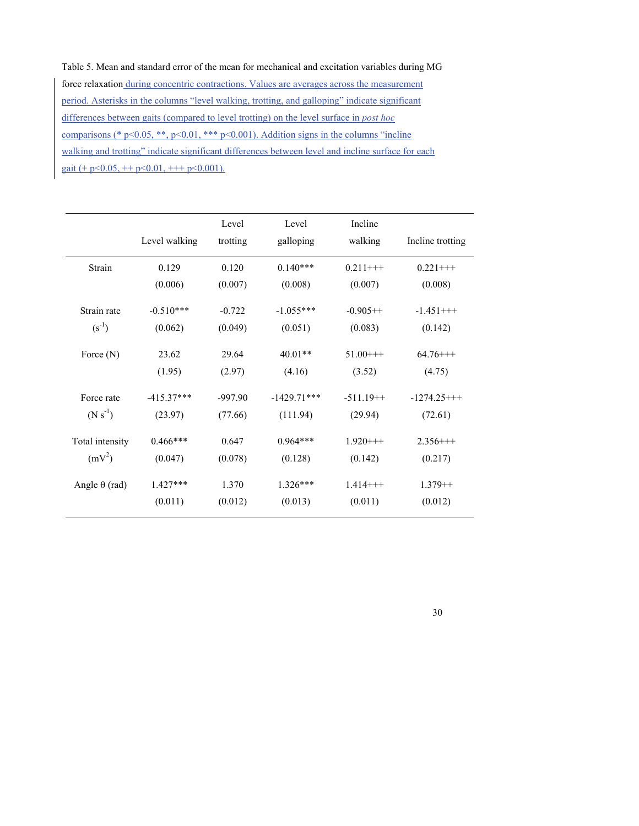Table 5. Mean and standard error of the mean for mechanical and excitation variables during MG force relaxation during concentric contractions. Values are averages across the measurement period. Asterisks in the columns "level walking, trotting, and galloping" indicate significant differences between gaits (compared to level trotting) on the level surface in *post hoc*  comparisons (\* p<0.05, \*\*, p<0.01, \*\*\* p<0.001). Addition signs in the columns "incline" walking and trotting" indicate significant differences between level and incline surface for each gait (+ p < 0.05, + + p < 0.01, + + + p < 0.001).

|                      | Level walking | Level<br>trotting | Level<br>galloping | Incline<br>walking | Incline trotting |
|----------------------|---------------|-------------------|--------------------|--------------------|------------------|
| Strain               | 0.129         | 0.120             | $0.140***$         | $0.211++$          | $0.221++$        |
|                      | (0.006)       | (0.007)           | (0.008)            | (0.007)            | (0.008)          |
| Strain rate          | $-0.510***$   | $-0.722$          | $-1.055***$        | $-0.905++$         | $-1.451++$       |
| $(s^{-1})$           | (0.062)       | (0.049)           | (0.051)            | (0.083)            | (0.142)          |
| Force $(N)$          | 23.62         | 29.64             | $40.01**$          | $51.00++$          | $64.76++$        |
|                      | (1.95)        | (2.97)            | (4.16)             | (3.52)             | (4.75)           |
| Force rate           | $-415.37***$  | $-997.90$         | $-1429.71***$      | $-511.19++$        | $-1274.25$ +++   |
| $(N s^{-1})$         | (23.97)       | (77.66)           | (111.94)           | (29.94)            | (72.61)          |
| Total intensity      | $0.466***$    | 0.647             | $0.964***$         | $1.920++$          | $2.356++$        |
| $(mV^2)$             | (0.047)       | (0.078)           | (0.128)            | (0.142)            | (0.217)          |
| Angle $\theta$ (rad) | $1.427***$    | 1.370             | $1.326***$         | $1.414++$          | $1.379++$        |
|                      | (0.011)       | (0.012)           | (0.013)            | (0.011)            | (0.012)          |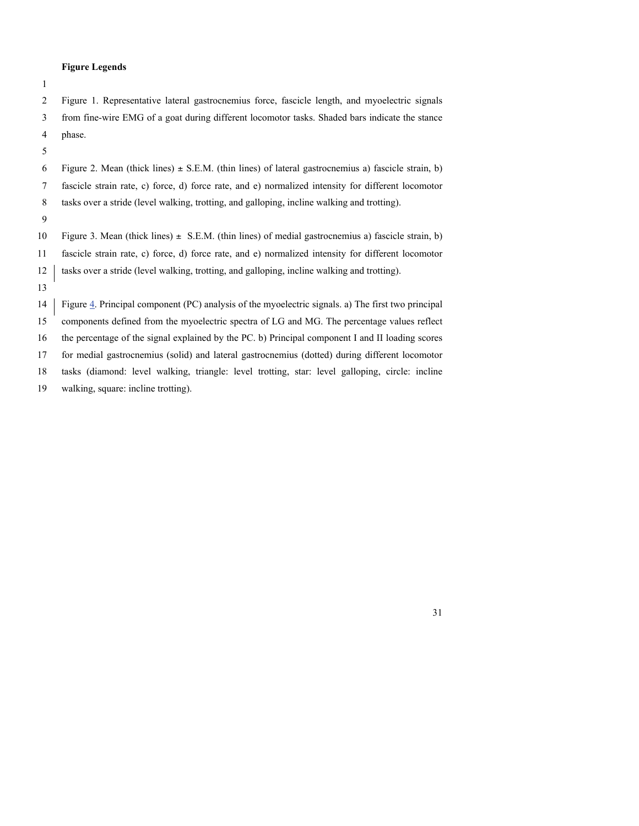#### **Figure Legends**

| ٠ |   |  |
|---|---|--|
|   |   |  |
|   |   |  |
|   |   |  |
|   | ۰ |  |

 Figure 1. Representative lateral gastrocnemius force, fascicle length, and myoelectric signals from fine-wire EMG of a goat during different locomotor tasks. Shaded bars indicate the stance phase.

6 Figure 2. Mean (thick lines)  $\pm$  S.E.M. (thin lines) of lateral gastrocnemius a) fascicle strain, b) fascicle strain rate, c) force, d) force rate, and e) normalized intensity for different locomotor tasks over a stride (level walking, trotting, and galloping, incline walking and trotting).

10 Figure 3. Mean (thick lines)  $\pm$  S.E.M. (thin lines) of medial gastrocnemius a) fascicle strain, b) fascicle strain rate, c) force, d) force rate, and e) normalized intensity for different locomotor 12 tasks over a stride (level walking, trotting, and galloping, incline walking and trotting).

 Figure 4. Principal component (PC) analysis of the myoelectric signals. a) The first two principal components defined from the myoelectric spectra of LG and MG. The percentage values reflect the percentage of the signal explained by the PC. b) Principal component I and II loading scores for medial gastrocnemius (solid) and lateral gastrocnemius (dotted) during different locomotor tasks (diamond: level walking, triangle: level trotting, star: level galloping, circle: incline

walking, square: incline trotting).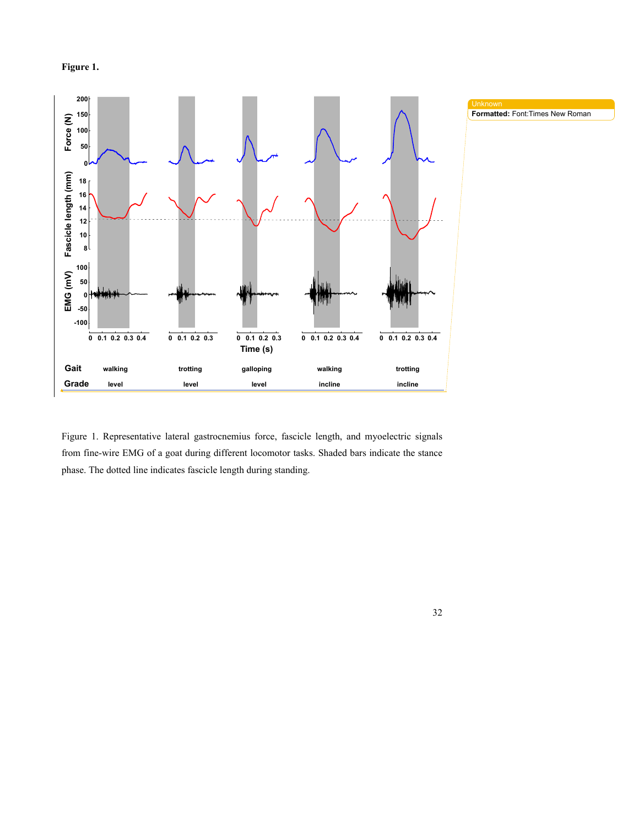



Figure 1. Representative lateral gastrocnemius force, fascicle length, and myoelectric signals from fine-wire EMG of a goat during different locomotor tasks. Shaded bars indicate the stance phase. The dotted line indicates fascicle length during standing.

32

Unknown

**Formatted:** Font:Times New Roman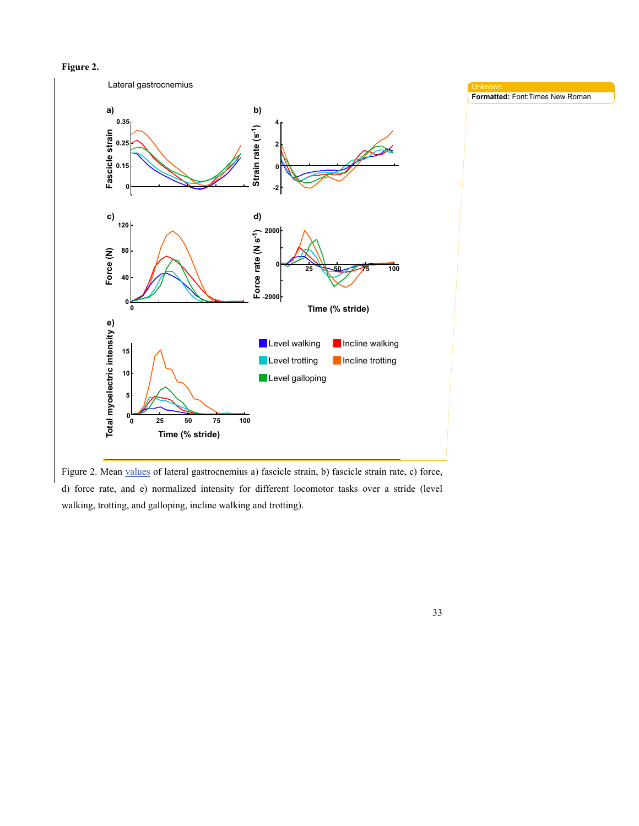



Figure 2. Mean values of lateral gastrocnemius a) fascicle strain, b) fascicle strain rate, c) force, d) force rate, and e) normalized intensity for different locomotor tasks over a stride (level walking, trotting, and galloping, incline walking and trotting).

**Formatted:** Font:Times New Roman

33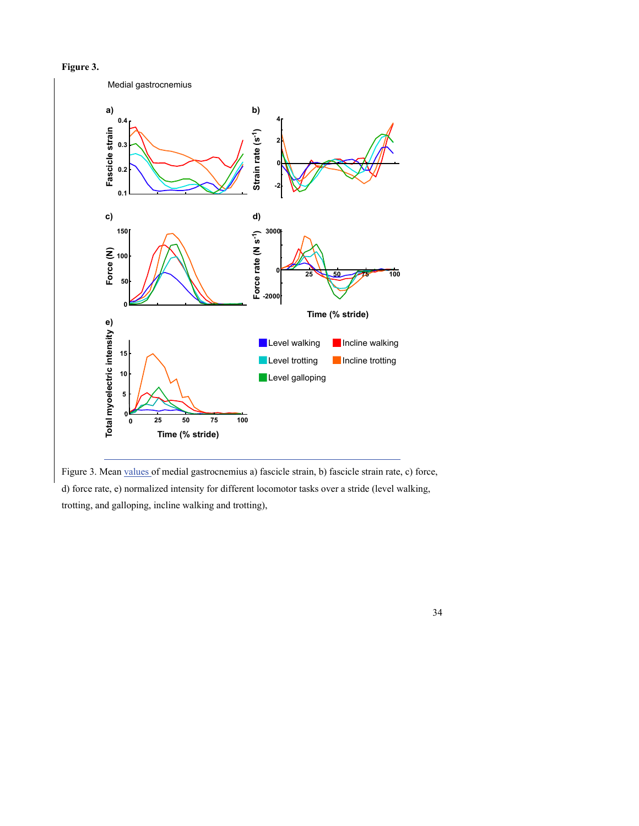



Figure 3. Mean values of medial gastrocnemius a) fascicle strain, b) fascicle strain rate, c) force, d) force rate, e) normalized intensity for different locomotor tasks over a stride (level walking, trotting, and galloping, incline walking and trotting),